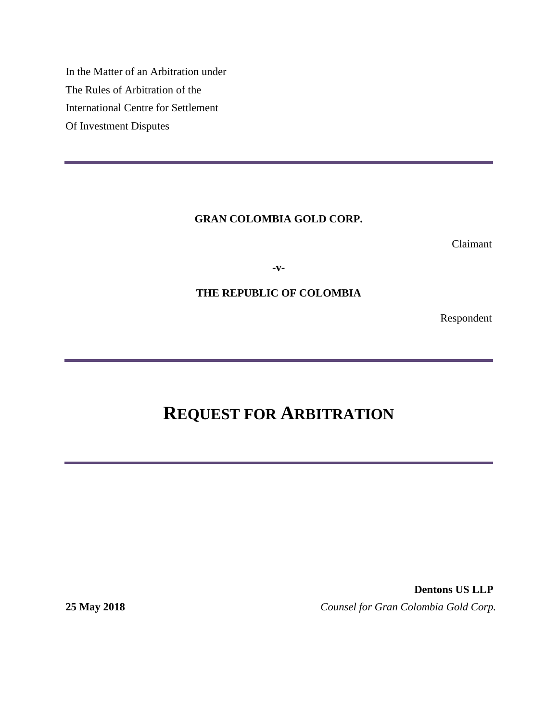In the Matter of an Arbitration under The Rules of Arbitration of the International Centre for Settlement Of Investment Disputes

## **GRAN COLOMBIA GOLD CORP.**

Claimant

**-v-**

# **THE REPUBLIC OF COLOMBIA**

Respondent

# **REQUEST FOR ARBITRATION**

**Dentons US LLP 25 May 2018** *Counsel for Gran Colombia Gold Corp.*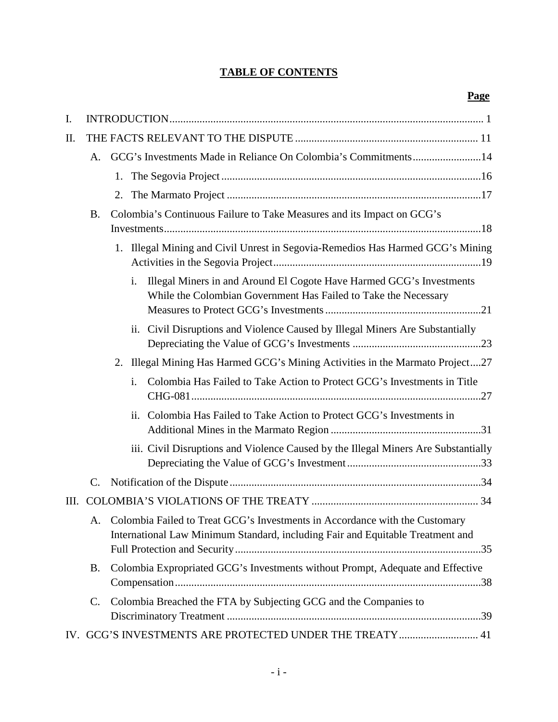# **TABLE OF CONTENTS**

| Ι.   |                 |                                                                                                                                                               |  |  |  |
|------|-----------------|---------------------------------------------------------------------------------------------------------------------------------------------------------------|--|--|--|
| Π.   |                 |                                                                                                                                                               |  |  |  |
|      | A.              | GCG's Investments Made in Reliance On Colombia's Commitments14                                                                                                |  |  |  |
|      |                 |                                                                                                                                                               |  |  |  |
|      |                 | 2.                                                                                                                                                            |  |  |  |
|      | <b>B.</b>       | Colombia's Continuous Failure to Take Measures and its Impact on GCG's                                                                                        |  |  |  |
|      |                 |                                                                                                                                                               |  |  |  |
|      |                 | Illegal Mining and Civil Unrest in Segovia-Remedios Has Harmed GCG's Mining<br>1.                                                                             |  |  |  |
|      |                 | i.<br>Illegal Miners in and Around El Cogote Have Harmed GCG's Investments<br>While the Colombian Government Has Failed to Take the Necessary                 |  |  |  |
|      |                 | ii. Civil Disruptions and Violence Caused by Illegal Miners Are Substantially                                                                                 |  |  |  |
|      |                 | 2. Illegal Mining Has Harmed GCG's Mining Activities in the Marmato Project27                                                                                 |  |  |  |
|      |                 | Colombia Has Failed to Take Action to Protect GCG's Investments in Title<br>i.                                                                                |  |  |  |
|      |                 | ii. Colombia Has Failed to Take Action to Protect GCG's Investments in                                                                                        |  |  |  |
|      |                 | iii. Civil Disruptions and Violence Caused by the Illegal Miners Are Substantially                                                                            |  |  |  |
|      | $\mathbf{C}$ .  |                                                                                                                                                               |  |  |  |
| III. |                 |                                                                                                                                                               |  |  |  |
|      | Α.              | Colombia Failed to Treat GCG's Investments in Accordance with the Customary<br>International Law Minimum Standard, including Fair and Equitable Treatment and |  |  |  |
|      | <b>B.</b>       | Colombia Expropriated GCG's Investments without Prompt, Adequate and Effective                                                                                |  |  |  |
|      | $\mathcal{C}$ . | Colombia Breached the FTA by Subjecting GCG and the Companies to                                                                                              |  |  |  |
|      |                 | IV. GCG'S INVESTMENTS ARE PROTECTED UNDER THE TREATY  41                                                                                                      |  |  |  |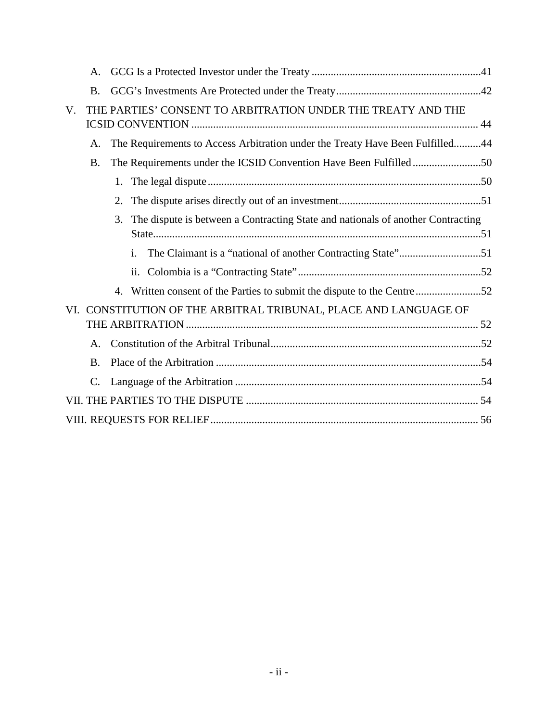|                                                                     | A.              | <b>B.</b><br>THE PARTIES' CONSENT TO ARBITRATION UNDER THE TREATY AND THE |                                                                                 |  |  |  |
|---------------------------------------------------------------------|-----------------|---------------------------------------------------------------------------|---------------------------------------------------------------------------------|--|--|--|
|                                                                     |                 |                                                                           |                                                                                 |  |  |  |
| $V_{\cdot}$                                                         |                 |                                                                           |                                                                                 |  |  |  |
|                                                                     | A.              |                                                                           | The Requirements to Access Arbitration under the Treaty Have Been Fulfilled44   |  |  |  |
|                                                                     | <b>B.</b>       |                                                                           | The Requirements under the ICSID Convention Have Been Fulfilled50               |  |  |  |
|                                                                     |                 |                                                                           |                                                                                 |  |  |  |
|                                                                     |                 | 2.                                                                        |                                                                                 |  |  |  |
|                                                                     |                 | 3.                                                                        | The dispute is between a Contracting State and nationals of another Contracting |  |  |  |
|                                                                     |                 |                                                                           | The Claimant is a "national of another Contracting State"51<br>i.               |  |  |  |
|                                                                     |                 |                                                                           | ii.                                                                             |  |  |  |
|                                                                     |                 | 4.                                                                        |                                                                                 |  |  |  |
| CONSTITUTION OF THE ARBITRAL TRIBUNAL, PLACE AND LANGUAGE OF<br>VI. |                 |                                                                           |                                                                                 |  |  |  |
|                                                                     |                 |                                                                           |                                                                                 |  |  |  |
|                                                                     | А.              |                                                                           |                                                                                 |  |  |  |
|                                                                     | <b>B.</b>       |                                                                           |                                                                                 |  |  |  |
|                                                                     | $\mathcal{C}$ . |                                                                           |                                                                                 |  |  |  |
|                                                                     |                 |                                                                           |                                                                                 |  |  |  |
|                                                                     |                 |                                                                           |                                                                                 |  |  |  |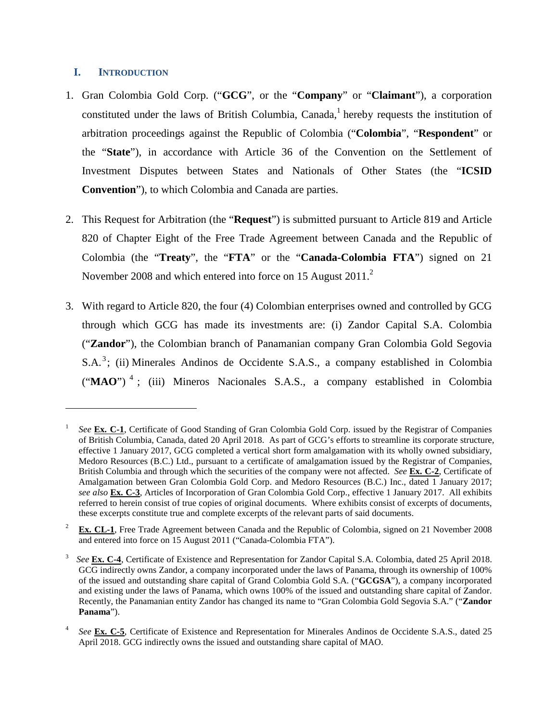## **I. INTRODUCTION**

- 1. Gran Colombia Gold Corp. ("**GCG**", or the "**Company**" or "**Claimant**"), a corporation constituted under the laws of British Columbia, Canada, $<sup>1</sup>$  hereby requests the institution of</sup> arbitration proceedings against the Republic of Colombia ("**Colombia**", "**Respondent**" or the "**State**"), in accordance with Article 36 of the Convention on the Settlement of Investment Disputes between States and Nationals of Other States (the "**ICSID Convention**"), to which Colombia and Canada are parties.
- 2. This Request for Arbitration (the "**Request**") is submitted pursuant to Article 819 and Article 820 of Chapter Eight of the Free Trade Agreement between Canada and the Republic of Colombia (the "**Treaty**", the "**FTA**" or the "**Canada-Colombia FTA**") signed on 21 November 2008 and which entered into force on 15 August 2011.<sup>2</sup>
- 3. With regard to Article 820, the four (4) Colombian enterprises owned and controlled by GCG through which GCG has made its investments are: (i) Zandor Capital S.A. Colombia ("**Zandor**"), the Colombian branch of Panamanian company Gran Colombia Gold Segovia S.A.<sup>3</sup>; (ii) Minerales Andinos de Occidente S.A.S., a company established in Colombia (" $\mathbf{MAO}$ ")<sup>4</sup>; (iii) Mineros Nacionales S.A.S., a company established in Colombia

<sup>1</sup> *See* **Ex. C-1**, Certificate of Good Standing of Gran Colombia Gold Corp. issued by the Registrar of Companies of British Columbia, Canada, dated 20 April 2018. As part of GCG's efforts to streamline its corporate structure, effective 1 January 2017, GCG completed a vertical short form amalgamation with its wholly owned subsidiary, Medoro Resources (B.C.) Ltd., pursuant to a certificate of amalgamation issued by the Registrar of Companies, British Columbia and through which the securities of the company were not affected. *See* **Ex. C-2**, Certificate of Amalgamation between Gran Colombia Gold Corp. and Medoro Resources (B.C.) Inc., dated 1 January 2017; *see also* **Ex. C-3**, Articles of Incorporation of Gran Colombia Gold Corp., effective 1 January 2017. All exhibits referred to herein consist of true copies of original documents. Where exhibits consist of excerpts of documents, these excerpts constitute true and complete excerpts of the relevant parts of said documents.

<sup>&</sup>lt;sup>2</sup> **Ex. CL-1**, Free Trade Agreement between Canada and the Republic of Colombia, signed on 21 November 2008 and entered into force on 15 August 2011 ("Canada-Colombia FTA").

<sup>3</sup> *See* **Ex. C-4**, Certificate of Existence and Representation for Zandor Capital S.A. Colombia, dated 25 April 2018. GCG indirectly owns Zandor, a company incorporated under the laws of Panama, through its ownership of 100% of the issued and outstanding share capital of Grand Colombia Gold S.A. ("**GCGSA**"), a company incorporated and existing under the laws of Panama, which owns 100% of the issued and outstanding share capital of Zandor. Recently, the Panamanian entity Zandor has changed its name to "Gran Colombia Gold Segovia S.A." ("**Zandor Panama**").

<sup>4</sup> *See* **Ex. C-5**, Certificate of Existence and Representation for Minerales Andinos de Occidente S.A.S., dated 25 April 2018. GCG indirectly owns the issued and outstanding share capital of MAO.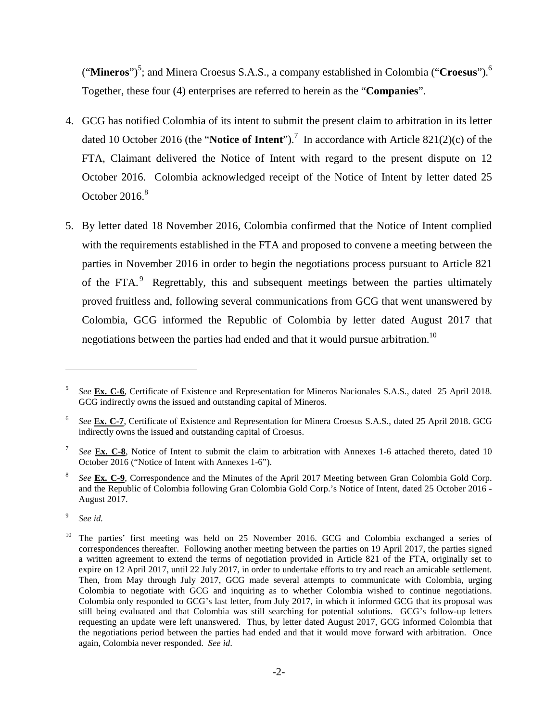("Mineros")<sup>5</sup>; and Minera Croesus S.A.S., a company established in Colombia ("Croesus").<sup>6</sup> Together, these four (4) enterprises are referred to herein as the "**Companies**".

- 4. GCG has notified Colombia of its intent to submit the present claim to arbitration in its letter dated 10 October 2016 (the "**Notice of Intent**").<sup>7</sup> In accordance with Article 821(2)(c) of the FTA, Claimant delivered the Notice of Intent with regard to the present dispute on 12 October 2016. Colombia acknowledged receipt of the Notice of Intent by letter dated 25 October 2016.<sup>8</sup>
- 5. By letter dated 18 November 2016, Colombia confirmed that the Notice of Intent complied with the requirements established in the FTA and proposed to convene a meeting between the parties in November 2016 in order to begin the negotiations process pursuant to Article 821 of the FTA.<sup>9</sup> Regrettably, this and subsequent meetings between the parties ultimately proved fruitless and, following several communications from GCG that went unanswered by Colombia, GCG informed the Republic of Colombia by letter dated August 2017 that negotiations between the parties had ended and that it would pursue arbitration.<sup>10</sup>

9 *See id.*

<sup>5</sup> *See* **Ex. C-6**, Certificate of Existence and Representation for Mineros Nacionales S.A.S., dated 25 April 2018. GCG indirectly owns the issued and outstanding capital of Mineros.

<sup>6</sup> *See* **Ex. C-7**, Certificate of Existence and Representation for Minera Croesus S.A.S., dated 25 April 2018. GCG indirectly owns the issued and outstanding capital of Croesus.

<sup>7</sup> *See* **Ex. C-8**, Notice of Intent to submit the claim to arbitration with Annexes 1-6 attached thereto, dated 10 October 2016 ("Notice of Intent with Annexes 1-6").

<sup>8</sup> *See* **Ex. C-9**, Correspondence and the Minutes of the April 2017 Meeting between Gran Colombia Gold Corp. and the Republic of Colombia following Gran Colombia Gold Corp.'s Notice of Intent, dated 25 October 2016 - August 2017.

<sup>&</sup>lt;sup>10</sup> The parties' first meeting was held on 25 November 2016. GCG and Colombia exchanged a series of correspondences thereafter. Following another meeting between the parties on 19 April 2017, the parties signed a written agreement to extend the terms of negotiation provided in Article 821 of the FTA, originally set to expire on 12 April 2017, until 22 July 2017, in order to undertake efforts to try and reach an amicable settlement. Then, from May through July 2017, GCG made several attempts to communicate with Colombia, urging Colombia to negotiate with GCG and inquiring as to whether Colombia wished to continue negotiations. Colombia only responded to GCG's last letter, from July 2017, in which it informed GCG that its proposal was still being evaluated and that Colombia was still searching for potential solutions. GCG's follow-up letters requesting an update were left unanswered. Thus, by letter dated August 2017, GCG informed Colombia that the negotiations period between the parties had ended and that it would move forward with arbitration. Once again, Colombia never responded. *See id*.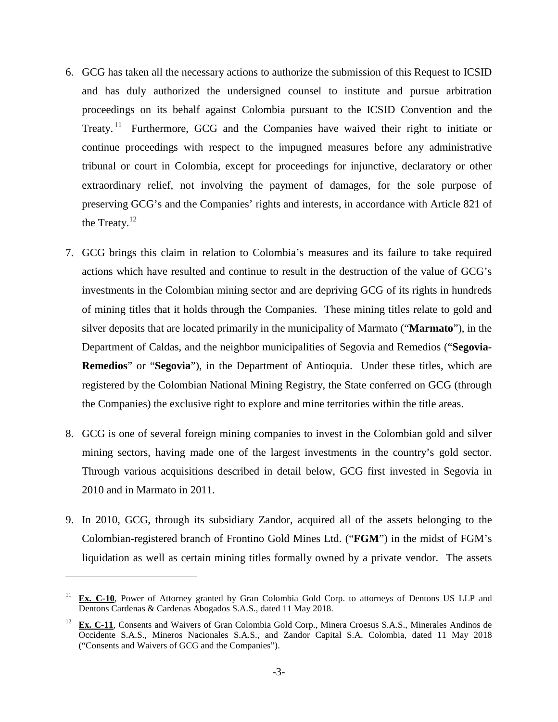- 6. GCG has taken all the necessary actions to authorize the submission of this Request to ICSID and has duly authorized the undersigned counsel to institute and pursue arbitration proceedings on its behalf against Colombia pursuant to the ICSID Convention and the Treaty.<sup>11</sup> Furthermore, GCG and the Companies have waived their right to initiate or continue proceedings with respect to the impugned measures before any administrative tribunal or court in Colombia, except for proceedings for injunctive, declaratory or other extraordinary relief, not involving the payment of damages, for the sole purpose of preserving GCG's and the Companies' rights and interests, in accordance with Article 821 of the Treaty. $12$
- 7. GCG brings this claim in relation to Colombia's measures and its failure to take required actions which have resulted and continue to result in the destruction of the value of GCG's investments in the Colombian mining sector and are depriving GCG of its rights in hundreds of mining titles that it holds through the Companies. These mining titles relate to gold and silver deposits that are located primarily in the municipality of Marmato ("**Marmato**"), in the Department of Caldas, and the neighbor municipalities of Segovia and Remedios ("**Segovia-Remedios**" or "**Segovia**"), in the Department of Antioquia. Under these titles, which are registered by the Colombian National Mining Registry, the State conferred on GCG (through the Companies) the exclusive right to explore and mine territories within the title areas.
- 8. GCG is one of several foreign mining companies to invest in the Colombian gold and silver mining sectors, having made one of the largest investments in the country's gold sector. Through various acquisitions described in detail below, GCG first invested in Segovia in 2010 and in Marmato in 2011.
- 9. In 2010, GCG, through its subsidiary Zandor, acquired all of the assets belonging to the Colombian-registered branch of Frontino Gold Mines Ltd. ("**FGM**") in the midst of FGM's liquidation as well as certain mining titles formally owned by a private vendor. The assets

<sup>&</sup>lt;sup>11</sup> **Ex. C-10**, Power of Attorney granted by Gran Colombia Gold Corp. to attorneys of Dentons US LLP and Dentons Cardenas & Cardenas Abogados S.A.S., dated 11 May 2018.

<sup>12</sup> **Ex. C-11**, Consents and Waivers of Gran Colombia Gold Corp., Minera Croesus S.A.S., Minerales Andinos de Occidente S.A.S., Mineros Nacionales S.A.S., and Zandor Capital S.A. Colombia, dated 11 May 2018 ("Consents and Waivers of GCG and the Companies").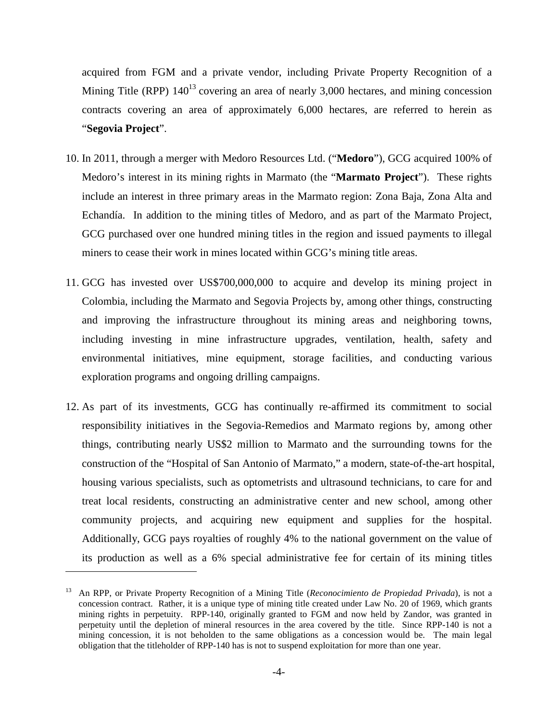acquired from FGM and a private vendor, including Private Property Recognition of a Mining Title (RPP)  $140^{13}$  covering an area of nearly 3,000 hectares, and mining concession contracts covering an area of approximately 6,000 hectares, are referred to herein as "**Segovia Project**".

- 10. In 2011, through a merger with Medoro Resources Ltd. ("**Medoro**"), GCG acquired 100% of Medoro's interest in its mining rights in Marmato (the "**Marmato Project**"). These rights include an interest in three primary areas in the Marmato region: Zona Baja, Zona Alta and Echandía. In addition to the mining titles of Medoro, and as part of the Marmato Project, GCG purchased over one hundred mining titles in the region and issued payments to illegal miners to cease their work in mines located within GCG's mining title areas.
- 11. GCG has invested over US\$700,000,000 to acquire and develop its mining project in Colombia, including the Marmato and Segovia Projects by, among other things, constructing and improving the infrastructure throughout its mining areas and neighboring towns, including investing in mine infrastructure upgrades, ventilation, health, safety and environmental initiatives, mine equipment, storage facilities, and conducting various exploration programs and ongoing drilling campaigns.
- 12. As part of its investments, GCG has continually re-affirmed its commitment to social responsibility initiatives in the Segovia-Remedios and Marmato regions by, among other things, contributing nearly US\$2 million to Marmato and the surrounding towns for the construction of the "Hospital of San Antonio of Marmato," a modern, state-of-the-art hospital, housing various specialists, such as optometrists and ultrasound technicians, to care for and treat local residents, constructing an administrative center and new school, among other community projects, and acquiring new equipment and supplies for the hospital. Additionally, GCG pays royalties of roughly 4% to the national government on the value of its production as well as a 6% special administrative fee for certain of its mining titles

<sup>13</sup> An RPP, or Private Property Recognition of a Mining Title (*Reconocimiento de Propiedad Privada*), is not a concession contract. Rather, it is a unique type of mining title created under Law No. 20 of 1969, which grants mining rights in perpetuity. RPP-140, originally granted to FGM and now held by Zandor, was granted in perpetuity until the depletion of mineral resources in the area covered by the title. Since RPP-140 is not a mining concession, it is not beholden to the same obligations as a concession would be. The main legal obligation that the titleholder of RPP-140 has is not to suspend exploitation for more than one year.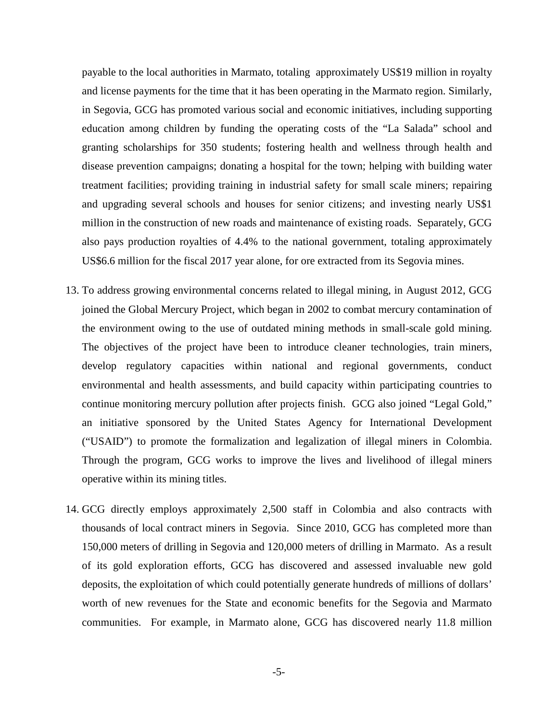payable to the local authorities in Marmato, totaling approximately US\$19 million in royalty and license payments for the time that it has been operating in the Marmato region. Similarly, in Segovia, GCG has promoted various social and economic initiatives, including supporting education among children by funding the operating costs of the "La Salada" school and granting scholarships for 350 students; fostering health and wellness through health and disease prevention campaigns; donating a hospital for the town; helping with building water treatment facilities; providing training in industrial safety for small scale miners; repairing and upgrading several schools and houses for senior citizens; and investing nearly US\$1 million in the construction of new roads and maintenance of existing roads. Separately, GCG also pays production royalties of 4.4% to the national government, totaling approximately US\$6.6 million for the fiscal 2017 year alone, for ore extracted from its Segovia mines.

- 13. To address growing environmental concerns related to illegal mining, in August 2012, GCG joined the Global Mercury Project, which began in 2002 to combat mercury contamination of the environment owing to the use of outdated mining methods in small-scale gold mining. The objectives of the project have been to introduce cleaner technologies, train miners, develop regulatory capacities within national and regional governments, conduct environmental and health assessments, and build capacity within participating countries to continue monitoring mercury pollution after projects finish. GCG also joined "Legal Gold," an initiative sponsored by the United States Agency for International Development ("USAID") to promote the formalization and legalization of illegal miners in Colombia. Through the program, GCG works to improve the lives and livelihood of illegal miners operative within its mining titles.
- 14. GCG directly employs approximately 2,500 staff in Colombia and also contracts with thousands of local contract miners in Segovia. Since 2010, GCG has completed more than 150,000 meters of drilling in Segovia and 120,000 meters of drilling in Marmato. As a result of its gold exploration efforts, GCG has discovered and assessed invaluable new gold deposits, the exploitation of which could potentially generate hundreds of millions of dollars' worth of new revenues for the State and economic benefits for the Segovia and Marmato communities. For example, in Marmato alone, GCG has discovered nearly 11.8 million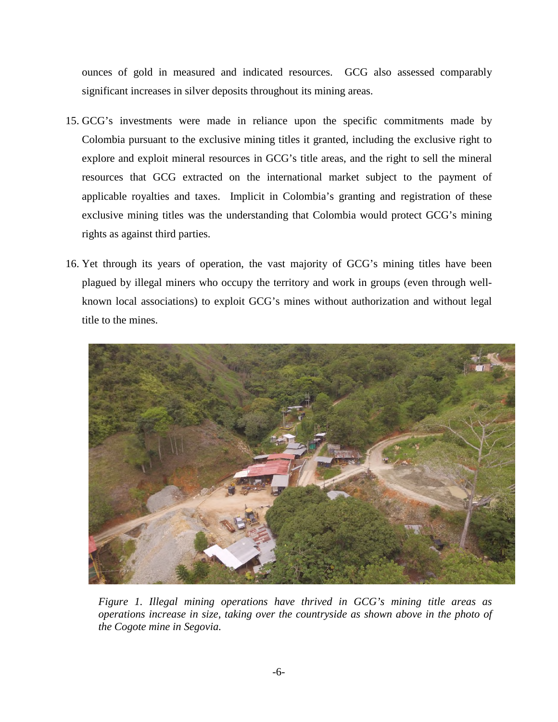ounces of gold in measured and indicated resources. GCG also assessed comparably significant increases in silver deposits throughout its mining areas.

- 15. GCG's investments were made in reliance upon the specific commitments made by Colombia pursuant to the exclusive mining titles it granted, including the exclusive right to explore and exploit mineral resources in GCG's title areas, and the right to sell the mineral resources that GCG extracted on the international market subject to the payment of applicable royalties and taxes. Implicit in Colombia's granting and registration of these exclusive mining titles was the understanding that Colombia would protect GCG's mining rights as against third parties.
- 16. Yet through its years of operation, the vast majority of GCG's mining titles have been plagued by illegal miners who occupy the territory and work in groups (even through wellknown local associations) to exploit GCG's mines without authorization and without legal title to the mines.



*Figure 1. Illegal mining operations have thrived in GCG's mining title areas as operations increase in size, taking over the countryside as shown above in the photo of the Cogote mine in Segovia.*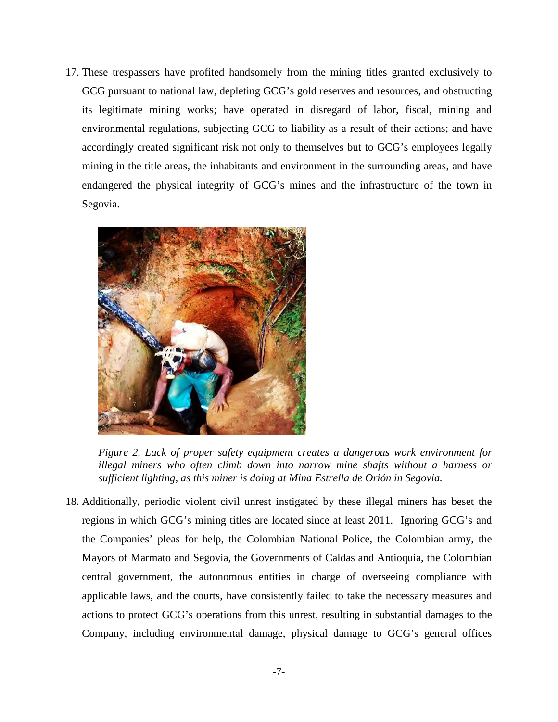17. These trespassers have profited handsomely from the mining titles granted exclusively to GCG pursuant to national law, depleting GCG's gold reserves and resources, and obstructing its legitimate mining works; have operated in disregard of labor, fiscal, mining and environmental regulations, subjecting GCG to liability as a result of their actions; and have accordingly created significant risk not only to themselves but to GCG's employees legally mining in the title areas, the inhabitants and environment in the surrounding areas, and have endangered the physical integrity of GCG's mines and the infrastructure of the town in Segovia.



*Figure 2. Lack of proper safety equipment creates a dangerous work environment for illegal miners who often climb down into narrow mine shafts without a harness or sufficient lighting, as this miner is doing at Mina Estrella de Orión in Segovia.* 

18. Additionally, periodic violent civil unrest instigated by these illegal miners has beset the regions in which GCG's mining titles are located since at least 2011. Ignoring GCG's and the Companies' pleas for help, the Colombian National Police, the Colombian army, the Mayors of Marmato and Segovia, the Governments of Caldas and Antioquia, the Colombian central government, the autonomous entities in charge of overseeing compliance with applicable laws, and the courts, have consistently failed to take the necessary measures and actions to protect GCG's operations from this unrest, resulting in substantial damages to the Company, including environmental damage, physical damage to GCG's general offices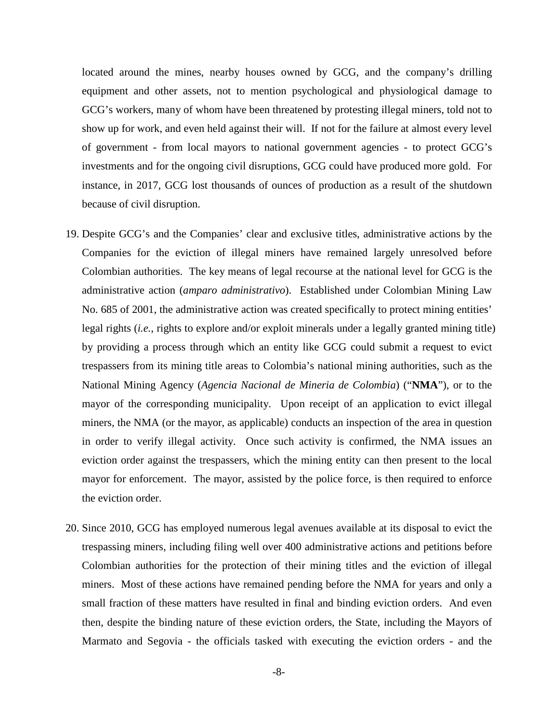located around the mines, nearby houses owned by GCG, and the company's drilling equipment and other assets, not to mention psychological and physiological damage to GCG's workers, many of whom have been threatened by protesting illegal miners, told not to show up for work, and even held against their will. If not for the failure at almost every level of government - from local mayors to national government agencies - to protect GCG's investments and for the ongoing civil disruptions, GCG could have produced more gold. For instance, in 2017, GCG lost thousands of ounces of production as a result of the shutdown because of civil disruption.

- 19. Despite GCG's and the Companies' clear and exclusive titles, administrative actions by the Companies for the eviction of illegal miners have remained largely unresolved before Colombian authorities. The key means of legal recourse at the national level for GCG is the administrative action (*amparo administrativo*). Established under Colombian Mining Law No. 685 of 2001, the administrative action was created specifically to protect mining entities' legal rights (*i.e.*, rights to explore and/or exploit minerals under a legally granted mining title) by providing a process through which an entity like GCG could submit a request to evict trespassers from its mining title areas to Colombia's national mining authorities, such as the National Mining Agency (*Agencia Nacional de Mineria de Colombia*) ("**NMA**"), or to the mayor of the corresponding municipality. Upon receipt of an application to evict illegal miners, the NMA (or the mayor, as applicable) conducts an inspection of the area in question in order to verify illegal activity. Once such activity is confirmed, the NMA issues an eviction order against the trespassers, which the mining entity can then present to the local mayor for enforcement. The mayor, assisted by the police force, is then required to enforce the eviction order.
- 20. Since 2010, GCG has employed numerous legal avenues available at its disposal to evict the trespassing miners, including filing well over 400 administrative actions and petitions before Colombian authorities for the protection of their mining titles and the eviction of illegal miners. Most of these actions have remained pending before the NMA for years and only a small fraction of these matters have resulted in final and binding eviction orders. And even then, despite the binding nature of these eviction orders, the State, including the Mayors of Marmato and Segovia - the officials tasked with executing the eviction orders - and the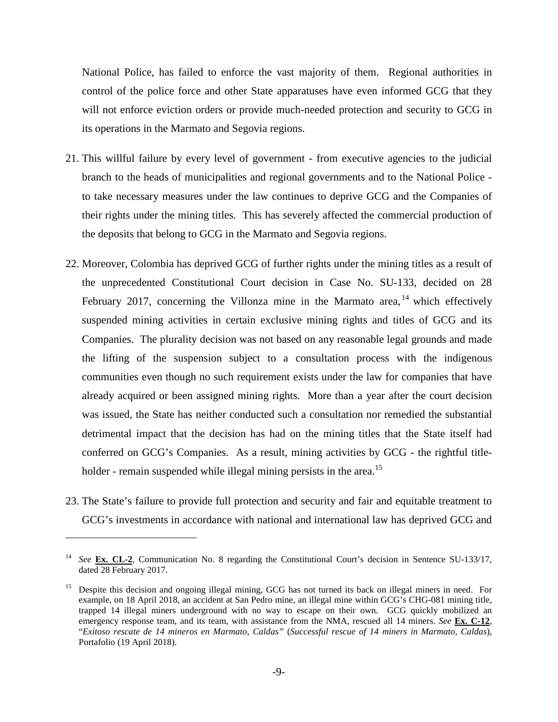National Police, has failed to enforce the vast majority of them. Regional authorities in control of the police force and other State apparatuses have even informed GCG that they will not enforce eviction orders or provide much-needed protection and security to GCG in its operations in the Marmato and Segovia regions.

- 21. This willful failure by every level of government from executive agencies to the judicial branch to the heads of municipalities and regional governments and to the National Police to take necessary measures under the law continues to deprive GCG and the Companies of their rights under the mining titles. This has severely affected the commercial production of the deposits that belong to GCG in the Marmato and Segovia regions.
- 22. Moreover, Colombia has deprived GCG of further rights under the mining titles as a result of the unprecedented Constitutional Court decision in Case No. SU-133, decided on 28 February 2017, concerning the Villonza mine in the Marmato area,  $^{14}$  which effectively suspended mining activities in certain exclusive mining rights and titles of GCG and its Companies. The plurality decision was not based on any reasonable legal grounds and made the lifting of the suspension subject to a consultation process with the indigenous communities even though no such requirement exists under the law for companies that have already acquired or been assigned mining rights. More than a year after the court decision was issued, the State has neither conducted such a consultation nor remedied the substantial detrimental impact that the decision has had on the mining titles that the State itself had conferred on GCG's Companies. As a result, mining activities by GCG - the rightful titleholder - remain suspended while illegal mining persists in the area.<sup>15</sup>
- 23. The State's failure to provide full protection and security and fair and equitable treatment to GCG's investments in accordance with national and international law has deprived GCG and

<sup>&</sup>lt;sup>14</sup> *See* **Ex. CL-2**, Communication No. 8 regarding the Constitutional Court's decision in Sentence SU-133/17, dated 28 February 2017.

<sup>&</sup>lt;sup>15</sup> Despite this decision and ongoing illegal mining, GCG has not turned its back on illegal miners in need. For example, on 18 April 2018, an accident at San Pedro mine, an illegal mine within GCG's CHG-081 mining title, trapped 14 illegal miners underground with no way to escape on their own. GCG quickly mobilized an emergency response team, and its team, with assistance from the NMA, rescued all 14 miners. *See* **Ex. C-12**, "*Exitoso rescate de 14 mineros en Marmato, Caldas"* (*Successful rescue of 14 miners in Marmato, Caldas*), Portafolio (19 April 2018).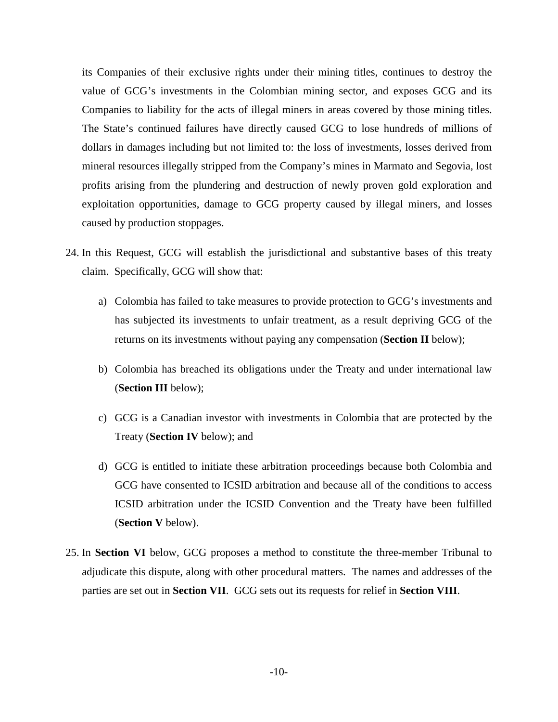its Companies of their exclusive rights under their mining titles, continues to destroy the value of GCG's investments in the Colombian mining sector, and exposes GCG and its Companies to liability for the acts of illegal miners in areas covered by those mining titles. The State's continued failures have directly caused GCG to lose hundreds of millions of dollars in damages including but not limited to: the loss of investments, losses derived from mineral resources illegally stripped from the Company's mines in Marmato and Segovia, lost profits arising from the plundering and destruction of newly proven gold exploration and exploitation opportunities, damage to GCG property caused by illegal miners, and losses caused by production stoppages.

- 24. In this Request, GCG will establish the jurisdictional and substantive bases of this treaty claim. Specifically, GCG will show that:
	- a) Colombia has failed to take measures to provide protection to GCG's investments and has subjected its investments to unfair treatment, as a result depriving GCG of the returns on its investments without paying any compensation (**Section II** below);
	- b) Colombia has breached its obligations under the Treaty and under international law (**Section III** below);
	- c) GCG is a Canadian investor with investments in Colombia that are protected by the Treaty (**Section IV** below); and
	- d) GCG is entitled to initiate these arbitration proceedings because both Colombia and GCG have consented to ICSID arbitration and because all of the conditions to access ICSID arbitration under the ICSID Convention and the Treaty have been fulfilled (**Section V** below).
- 25. In **Section VI** below, GCG proposes a method to constitute the three-member Tribunal to adjudicate this dispute, along with other procedural matters. The names and addresses of the parties are set out in **Section VII**. GCG sets out its requests for relief in **Section VIII**.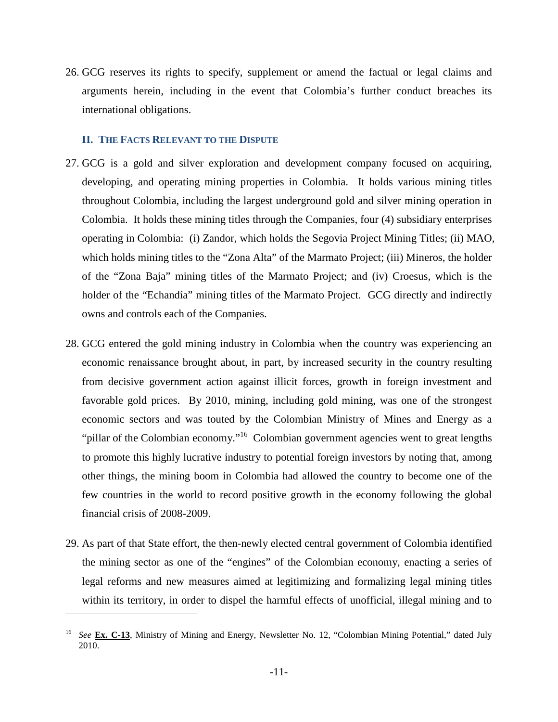26. GCG reserves its rights to specify, supplement or amend the factual or legal claims and arguments herein, including in the event that Colombia's further conduct breaches its international obligations.

#### **II. THE FACTS RELEVANT TO THE DISPUTE**

- 27. GCG is a gold and silver exploration and development company focused on acquiring, developing, and operating mining properties in Colombia. It holds various mining titles throughout Colombia, including the largest underground gold and silver mining operation in Colombia. It holds these mining titles through the Companies, four (4) subsidiary enterprises operating in Colombia: (i) Zandor, which holds the Segovia Project Mining Titles; (ii) MAO, which holds mining titles to the "Zona Alta" of the Marmato Project; (iii) Mineros, the holder of the "Zona Baja" mining titles of the Marmato Project; and (iv) Croesus, which is the holder of the "Echandía" mining titles of the Marmato Project. GCG directly and indirectly owns and controls each of the Companies.
- 28. GCG entered the gold mining industry in Colombia when the country was experiencing an economic renaissance brought about, in part, by increased security in the country resulting from decisive government action against illicit forces, growth in foreign investment and favorable gold prices. By 2010, mining, including gold mining, was one of the strongest economic sectors and was touted by the Colombian Ministry of Mines and Energy as a "pillar of the Colombian economy."<sup>16</sup> Colombian government agencies went to great lengths to promote this highly lucrative industry to potential foreign investors by noting that, among other things, the mining boom in Colombia had allowed the country to become one of the few countries in the world to record positive growth in the economy following the global financial crisis of 2008-2009.
- 29. As part of that State effort, the then-newly elected central government of Colombia identified the mining sector as one of the "engines" of the Colombian economy, enacting a series of legal reforms and new measures aimed at legitimizing and formalizing legal mining titles within its territory, in order to dispel the harmful effects of unofficial, illegal mining and to

<sup>16</sup> *See* **Ex. C-13**, Ministry of Mining and Energy, Newsletter No. 12, "Colombian Mining Potential," dated July 2010.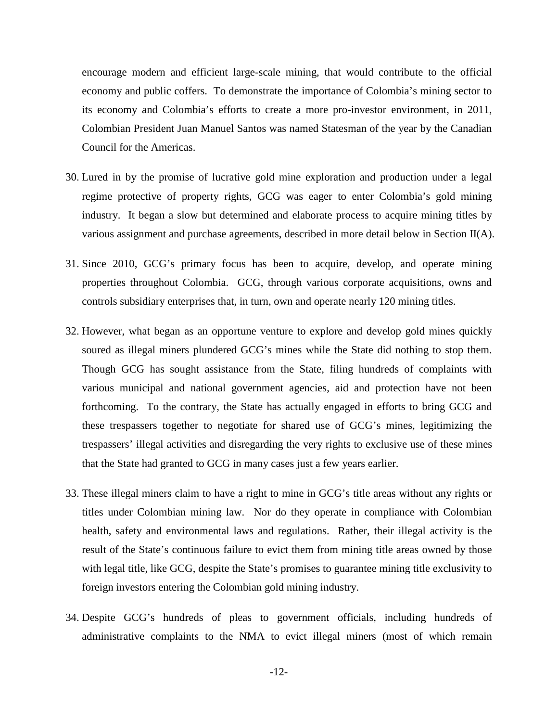encourage modern and efficient large-scale mining, that would contribute to the official economy and public coffers. To demonstrate the importance of Colombia's mining sector to its economy and Colombia's efforts to create a more pro-investor environment, in 2011, Colombian President Juan Manuel Santos was named Statesman of the year by the Canadian Council for the Americas.

- 30. Lured in by the promise of lucrative gold mine exploration and production under a legal regime protective of property rights, GCG was eager to enter Colombia's gold mining industry. It began a slow but determined and elaborate process to acquire mining titles by various assignment and purchase agreements, described in more detail below in Section II(A).
- 31. Since 2010, GCG's primary focus has been to acquire, develop, and operate mining properties throughout Colombia. GCG, through various corporate acquisitions, owns and controls subsidiary enterprises that, in turn, own and operate nearly 120 mining titles.
- 32. However, what began as an opportune venture to explore and develop gold mines quickly soured as illegal miners plundered GCG's mines while the State did nothing to stop them. Though GCG has sought assistance from the State, filing hundreds of complaints with various municipal and national government agencies, aid and protection have not been forthcoming. To the contrary, the State has actually engaged in efforts to bring GCG and these trespassers together to negotiate for shared use of GCG's mines, legitimizing the trespassers' illegal activities and disregarding the very rights to exclusive use of these mines that the State had granted to GCG in many cases just a few years earlier.
- 33. These illegal miners claim to have a right to mine in GCG's title areas without any rights or titles under Colombian mining law. Nor do they operate in compliance with Colombian health, safety and environmental laws and regulations. Rather, their illegal activity is the result of the State's continuous failure to evict them from mining title areas owned by those with legal title, like GCG, despite the State's promises to guarantee mining title exclusivity to foreign investors entering the Colombian gold mining industry.
- 34. Despite GCG's hundreds of pleas to government officials, including hundreds of administrative complaints to the NMA to evict illegal miners (most of which remain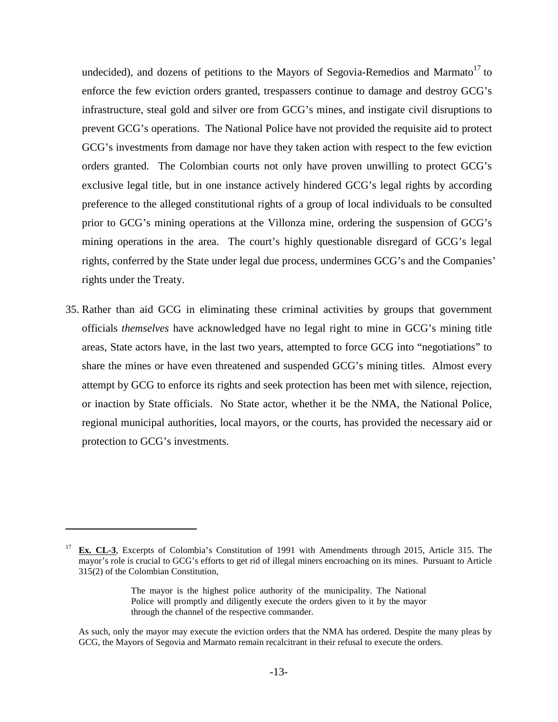undecided), and dozens of petitions to the Mayors of Segovia-Remedios and Marmato<sup>17</sup> to enforce the few eviction orders granted, trespassers continue to damage and destroy GCG's infrastructure, steal gold and silver ore from GCG's mines, and instigate civil disruptions to prevent GCG's operations. The National Police have not provided the requisite aid to protect GCG's investments from damage nor have they taken action with respect to the few eviction orders granted. The Colombian courts not only have proven unwilling to protect GCG's exclusive legal title, but in one instance actively hindered GCG's legal rights by according preference to the alleged constitutional rights of a group of local individuals to be consulted prior to GCG's mining operations at the Villonza mine, ordering the suspension of GCG's mining operations in the area. The court's highly questionable disregard of GCG's legal rights, conferred by the State under legal due process, undermines GCG's and the Companies' rights under the Treaty.

35. Rather than aid GCG in eliminating these criminal activities by groups that government officials *themselves* have acknowledged have no legal right to mine in GCG's mining title areas, State actors have, in the last two years, attempted to force GCG into "negotiations" to share the mines or have even threatened and suspended GCG's mining titles. Almost every attempt by GCG to enforce its rights and seek protection has been met with silence, rejection, or inaction by State officials. No State actor, whether it be the NMA, the National Police, regional municipal authorities, local mayors, or the courts, has provided the necessary aid or protection to GCG's investments.

<sup>&</sup>lt;sup>17</sup> **Ex. CL-3**, Excerpts of Colombia's Constitution of 1991 with Amendments through 2015, Article 315. The mayor's role is crucial to GCG's efforts to get rid of illegal miners encroaching on its mines. Pursuant to Article 315(2) of the Colombian Constitution,

The mayor is the highest police authority of the municipality. The National Police will promptly and diligently execute the orders given to it by the mayor through the channel of the respective commander.

As such, only the mayor may execute the eviction orders that the NMA has ordered. Despite the many pleas by GCG, the Mayors of Segovia and Marmato remain recalcitrant in their refusal to execute the orders.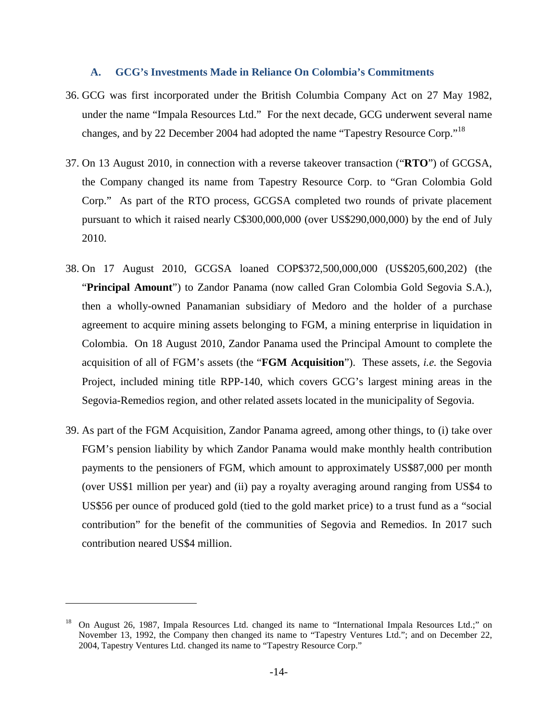#### **A. GCG's Investments Made in Reliance On Colombia's Commitments**

- 36. GCG was first incorporated under the British Columbia Company Act on 27 May 1982, under the name "Impala Resources Ltd." For the next decade, GCG underwent several name changes, and by 22 December 2004 had adopted the name "Tapestry Resource Corp."<sup>18</sup>
- 37. On 13 August 2010, in connection with a reverse takeover transaction ("**RTO**") of GCGSA, the Company changed its name from Tapestry Resource Corp. to "Gran Colombia Gold Corp." As part of the RTO process, GCGSA completed two rounds of private placement pursuant to which it raised nearly C\$300,000,000 (over US\$290,000,000) by the end of July 2010.
- 38. On 17 August 2010, GCGSA loaned COP\$372,500,000,000 (US\$205,600,202) (the "**Principal Amount**") to Zandor Panama (now called Gran Colombia Gold Segovia S.A.), then a wholly-owned Panamanian subsidiary of Medoro and the holder of a purchase agreement to acquire mining assets belonging to FGM, a mining enterprise in liquidation in Colombia. On 18 August 2010, Zandor Panama used the Principal Amount to complete the acquisition of all of FGM's assets (the "**FGM Acquisition**"). These assets, *i.e.* the Segovia Project, included mining title RPP-140, which covers GCG's largest mining areas in the Segovia-Remedios region, and other related assets located in the municipality of Segovia.
- 39. As part of the FGM Acquisition, Zandor Panama agreed, among other things, to (i) take over FGM's pension liability by which Zandor Panama would make monthly health contribution payments to the pensioners of FGM, which amount to approximately US\$87,000 per month (over US\$1 million per year) and (ii) pay a royalty averaging around ranging from US\$4 to US\$56 per ounce of produced gold (tied to the gold market price) to a trust fund as a "social contribution" for the benefit of the communities of Segovia and Remedios. In 2017 such contribution neared US\$4 million.

<sup>18</sup> On August 26, 1987, Impala Resources Ltd. changed its name to "International Impala Resources Ltd.;" on November 13, 1992, the Company then changed its name to "Tapestry Ventures Ltd."; and on December 22, 2004, Tapestry Ventures Ltd. changed its name to "Tapestry Resource Corp."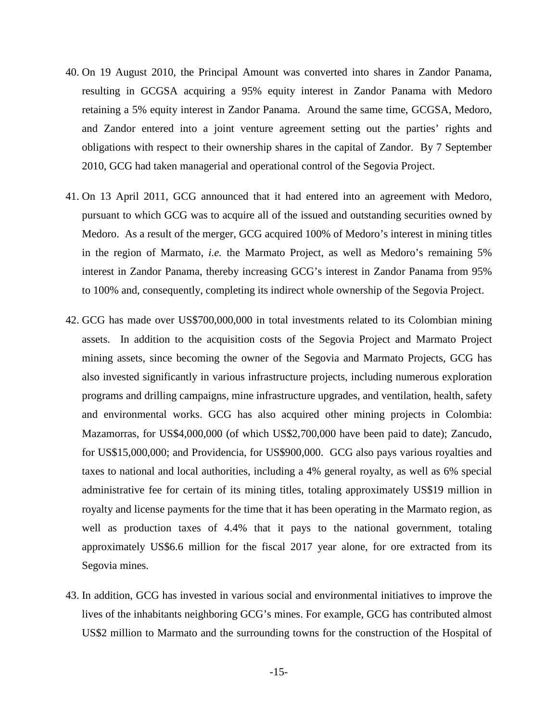- 40. On 19 August 2010, the Principal Amount was converted into shares in Zandor Panama, resulting in GCGSA acquiring a 95% equity interest in Zandor Panama with Medoro retaining a 5% equity interest in Zandor Panama. Around the same time, GCGSA, Medoro, and Zandor entered into a joint venture agreement setting out the parties' rights and obligations with respect to their ownership shares in the capital of Zandor. By 7 September 2010, GCG had taken managerial and operational control of the Segovia Project.
- 41. On 13 April 2011, GCG announced that it had entered into an agreement with Medoro, pursuant to which GCG was to acquire all of the issued and outstanding securities owned by Medoro. As a result of the merger, GCG acquired 100% of Medoro's interest in mining titles in the region of Marmato, *i.e.* the Marmato Project, as well as Medoro's remaining 5% interest in Zandor Panama, thereby increasing GCG's interest in Zandor Panama from 95% to 100% and, consequently, completing its indirect whole ownership of the Segovia Project.
- 42. GCG has made over US\$700,000,000 in total investments related to its Colombian mining assets. In addition to the acquisition costs of the Segovia Project and Marmato Project mining assets, since becoming the owner of the Segovia and Marmato Projects, GCG has also invested significantly in various infrastructure projects, including numerous exploration programs and drilling campaigns, mine infrastructure upgrades, and ventilation, health, safety and environmental works. GCG has also acquired other mining projects in Colombia: Mazamorras, for US\$4,000,000 (of which US\$2,700,000 have been paid to date); Zancudo, for US\$15,000,000; and Providencia, for US\$900,000. GCG also pays various royalties and taxes to national and local authorities, including a 4% general royalty, as well as 6% special administrative fee for certain of its mining titles, totaling approximately US\$19 million in royalty and license payments for the time that it has been operating in the Marmato region, as well as production taxes of 4.4% that it pays to the national government, totaling approximately US\$6.6 million for the fiscal 2017 year alone, for ore extracted from its Segovia mines.
- 43. In addition, GCG has invested in various social and environmental initiatives to improve the lives of the inhabitants neighboring GCG's mines. For example, GCG has contributed almost US\$2 million to Marmato and the surrounding towns for the construction of the Hospital of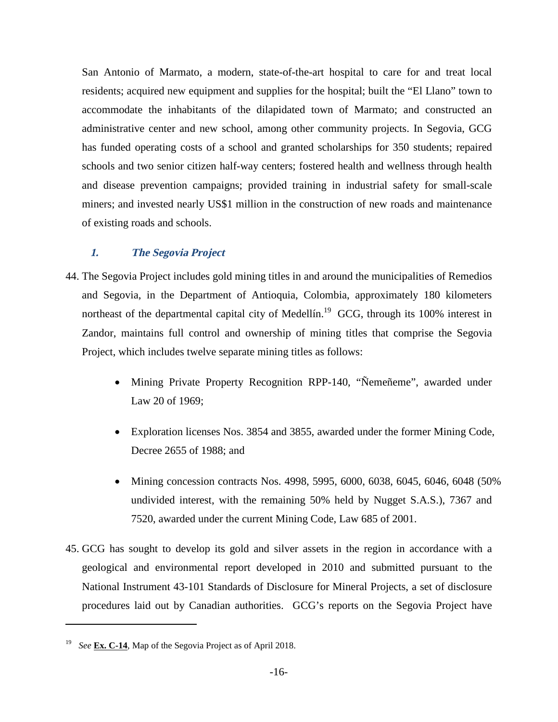San Antonio of Marmato, a modern, state-of-the-art hospital to care for and treat local residents; acquired new equipment and supplies for the hospital; built the "El Llano" town to accommodate the inhabitants of the dilapidated town of Marmato; and constructed an administrative center and new school, among other community projects. In Segovia, GCG has funded operating costs of a school and granted scholarships for 350 students; repaired schools and two senior citizen half-way centers; fostered health and wellness through health and disease prevention campaigns; provided training in industrial safety for small-scale miners; and invested nearly US\$1 million in the construction of new roads and maintenance of existing roads and schools.

## **1. The Segovia Project**

- 44. The Segovia Project includes gold mining titles in and around the municipalities of Remedios and Segovia, in the Department of Antioquia, Colombia, approximately 180 kilometers northeast of the departmental capital city of Medellín.<sup>19</sup> GCG, through its 100% interest in Zandor, maintains full control and ownership of mining titles that comprise the Segovia Project, which includes twelve separate mining titles as follows:
	- Mining Private Property Recognition RPP-140, "Ñemeñeme", awarded under Law 20 of 1969;
	- Exploration licenses Nos. 3854 and 3855, awarded under the former Mining Code, Decree 2655 of 1988; and
	- Mining concession contracts Nos. 4998, 5995, 6000, 6038, 6045, 6046, 6048 (50%) undivided interest, with the remaining 50% held by Nugget S.A.S.), 7367 and 7520, awarded under the current Mining Code, Law 685 of 2001.
- 45. GCG has sought to develop its gold and silver assets in the region in accordance with a geological and environmental report developed in 2010 and submitted pursuant to the National Instrument 43-101 Standards of Disclosure for Mineral Projects, a set of disclosure procedures laid out by Canadian authorities. GCG's reports on the Segovia Project have

See **Ex. C-14**, Map of the Segovia Project as of April 2018.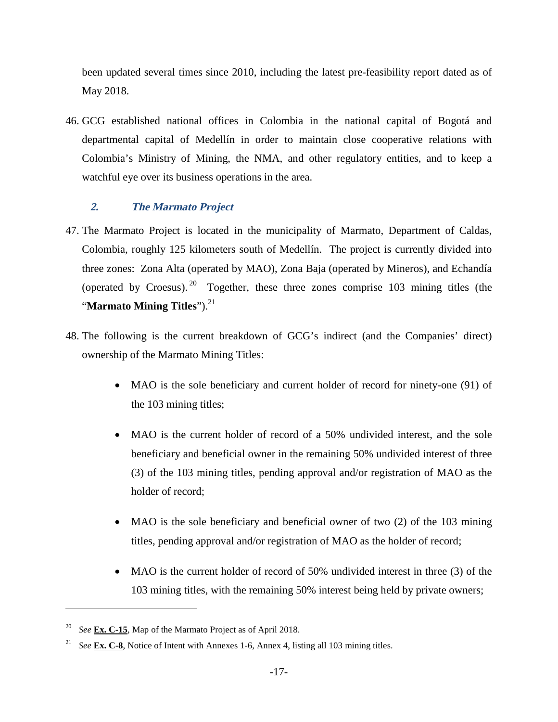been updated several times since 2010, including the latest pre-feasibility report dated as of May 2018.

46. GCG established national offices in Colombia in the national capital of Bogotá and departmental capital of Medellín in order to maintain close cooperative relations with Colombia's Ministry of Mining, the NMA, and other regulatory entities, and to keep a watchful eye over its business operations in the area.

# **2. The Marmato Project**

- 47. The Marmato Project is located in the municipality of Marmato, Department of Caldas, Colombia, roughly 125 kilometers south of Medellín. The project is currently divided into three zones: Zona Alta (operated by MAO), Zona Baja (operated by Mineros), and Echandía (operated by Croesus). <sup>20</sup> Together, these three zones comprise 103 mining titles (the "**Marmato Mining Titles**").<sup>21</sup>
- 48. The following is the current breakdown of GCG's indirect (and the Companies' direct) ownership of the Marmato Mining Titles:
	- MAO is the sole beneficiary and current holder of record for ninety-one (91) of the 103 mining titles;
	- MAO is the current holder of record of a 50% undivided interest, and the sole beneficiary and beneficial owner in the remaining 50% undivided interest of three (3) of the 103 mining titles, pending approval and/or registration of MAO as the holder of record;
	- MAO is the sole beneficiary and beneficial owner of two (2) of the 103 mining titles, pending approval and/or registration of MAO as the holder of record;
	- MAO is the current holder of record of 50% undivided interest in three (3) of the 103 mining titles, with the remaining 50% interest being held by private owners;

<sup>20</sup> *See* **Ex. C-15**, Map of the Marmato Project as of April 2018.

<sup>&</sup>lt;sup>21</sup> *See* **Ex. C-8**, Notice of Intent with Annexes 1-6, Annex 4, listing all 103 mining titles.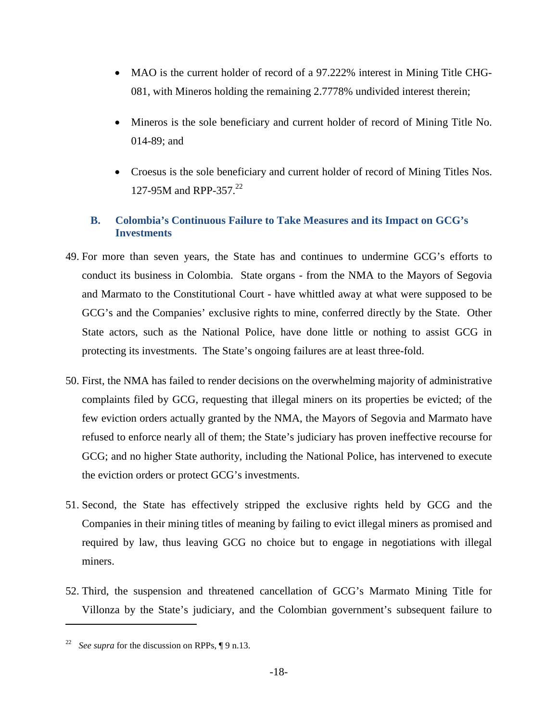- MAO is the current holder of record of a 97.222% interest in Mining Title CHG-081, with Mineros holding the remaining 2.7778% undivided interest therein;
- Mineros is the sole beneficiary and current holder of record of Mining Title No. 014-89; and
- Croesus is the sole beneficiary and current holder of record of Mining Titles Nos. 127-95M and RPP-357.<sup>22</sup>

# **B. Colombia's Continuous Failure to Take Measures and its Impact on GCG's Investments**

- 49. For more than seven years, the State has and continues to undermine GCG's efforts to conduct its business in Colombia. State organs - from the NMA to the Mayors of Segovia and Marmato to the Constitutional Court - have whittled away at what were supposed to be GCG's and the Companies' exclusive rights to mine, conferred directly by the State. Other State actors, such as the National Police, have done little or nothing to assist GCG in protecting its investments. The State's ongoing failures are at least three-fold.
- 50. First, the NMA has failed to render decisions on the overwhelming majority of administrative complaints filed by GCG, requesting that illegal miners on its properties be evicted; of the few eviction orders actually granted by the NMA, the Mayors of Segovia and Marmato have refused to enforce nearly all of them; the State's judiciary has proven ineffective recourse for GCG; and no higher State authority, including the National Police, has intervened to execute the eviction orders or protect GCG's investments.
- 51. Second, the State has effectively stripped the exclusive rights held by GCG and the Companies in their mining titles of meaning by failing to evict illegal miners as promised and required by law, thus leaving GCG no choice but to engage in negotiations with illegal miners.
- 52. Third, the suspension and threatened cancellation of GCG's Marmato Mining Title for Villonza by the State's judiciary, and the Colombian government's subsequent failure to

<sup>22</sup> *See supra* for the discussion on RPPs, ¶ 9 n.13.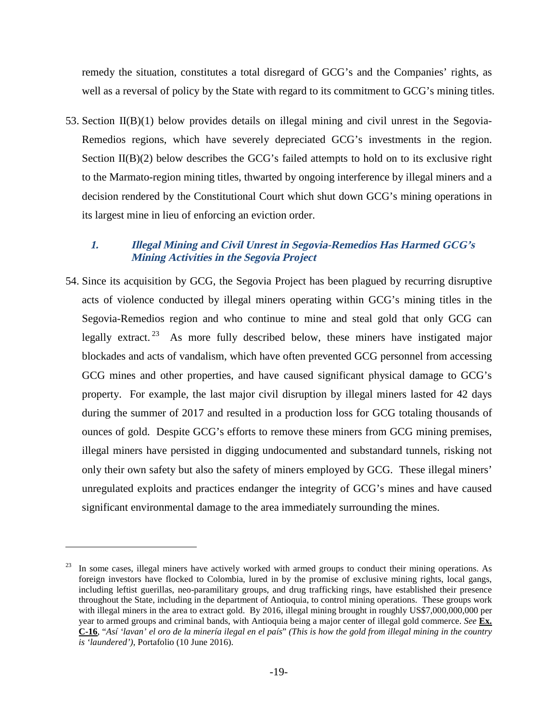remedy the situation, constitutes a total disregard of GCG's and the Companies' rights, as well as a reversal of policy by the State with regard to its commitment to GCG's mining titles.

53. Section  $II(B)(1)$  below provides details on illegal mining and civil unrest in the Segovia-Remedios regions, which have severely depreciated GCG's investments in the region. Section  $II(B)(2)$  below describes the GCG's failed attempts to hold on to its exclusive right to the Marmato-region mining titles, thwarted by ongoing interference by illegal miners and a decision rendered by the Constitutional Court which shut down GCG's mining operations in its largest mine in lieu of enforcing an eviction order.

## **1. Illegal Mining and Civil Unrest in Segovia-Remedios Has Harmed GCG's Mining Activities in the Segovia Project**

54. Since its acquisition by GCG, the Segovia Project has been plagued by recurring disruptive acts of violence conducted by illegal miners operating within GCG's mining titles in the Segovia-Remedios region and who continue to mine and steal gold that only GCG can legally extract.<sup>23</sup> As more fully described below, these miners have instigated major blockades and acts of vandalism, which have often prevented GCG personnel from accessing GCG mines and other properties, and have caused significant physical damage to GCG's property. For example, the last major civil disruption by illegal miners lasted for 42 days during the summer of 2017 and resulted in a production loss for GCG totaling thousands of ounces of gold. Despite GCG's efforts to remove these miners from GCG mining premises, illegal miners have persisted in digging undocumented and substandard tunnels, risking not only their own safety but also the safety of miners employed by GCG. These illegal miners' unregulated exploits and practices endanger the integrity of GCG's mines and have caused significant environmental damage to the area immediately surrounding the mines.

<sup>&</sup>lt;sup>23</sup> In some cases, illegal miners have actively worked with armed groups to conduct their mining operations. As foreign investors have flocked to Colombia, lured in by the promise of exclusive mining rights, local gangs, including leftist guerillas, neo-paramilitary groups, and drug trafficking rings, have established their presence throughout the State, including in the department of Antioquia, to control mining operations. These groups work with illegal miners in the area to extract gold. By 2016, illegal mining brought in roughly US\$7,000,000,000 per year to armed groups and criminal bands, with Antioquia being a major center of illegal gold commerce. *See* **Ex. C-16**, "*Así 'lavan' el oro de la minería ilegal en el país*" *(This is how the gold from illegal mining in the country is 'laundered')*, Portafolio (10 June 2016).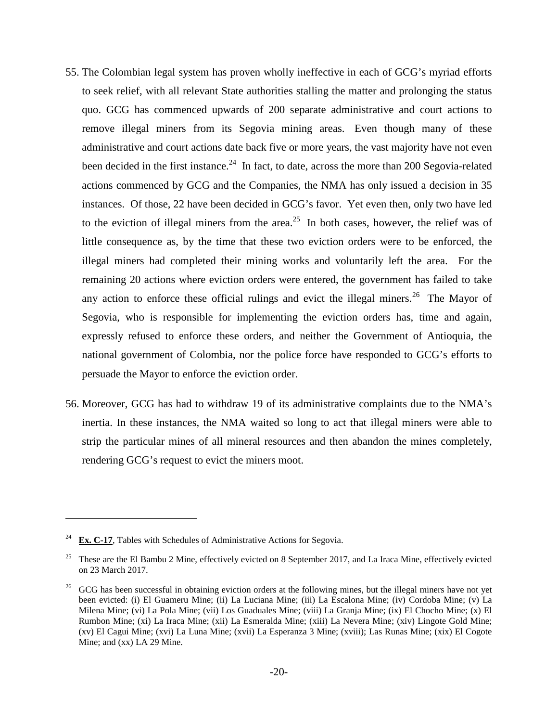- 55. The Colombian legal system has proven wholly ineffective in each of GCG's myriad efforts to seek relief, with all relevant State authorities stalling the matter and prolonging the status quo. GCG has commenced upwards of 200 separate administrative and court actions to remove illegal miners from its Segovia mining areas. Even though many of these administrative and court actions date back five or more years, the vast majority have not even been decided in the first instance.<sup>24</sup> In fact, to date, across the more than 200 Segovia-related actions commenced by GCG and the Companies, the NMA has only issued a decision in 35 instances. Of those, 22 have been decided in GCG's favor. Yet even then, only two have led to the eviction of illegal miners from the area.<sup>25</sup> In both cases, however, the relief was of little consequence as, by the time that these two eviction orders were to be enforced, the illegal miners had completed their mining works and voluntarily left the area. For the remaining 20 actions where eviction orders were entered, the government has failed to take any action to enforce these official rulings and evict the illegal miners.<sup>26</sup> The Mayor of Segovia, who is responsible for implementing the eviction orders has, time and again, expressly refused to enforce these orders, and neither the Government of Antioquia, the national government of Colombia, nor the police force have responded to GCG's efforts to persuade the Mayor to enforce the eviction order.
- 56. Moreover, GCG has had to withdraw 19 of its administrative complaints due to the NMA's inertia. In these instances, the NMA waited so long to act that illegal miners were able to strip the particular mines of all mineral resources and then abandon the mines completely, rendering GCG's request to evict the miners moot.

<sup>&</sup>lt;sup>24</sup> **Ex. C-17**, Tables with Schedules of Administrative Actions for Segovia.

<sup>&</sup>lt;sup>25</sup> These are the El Bambu 2 Mine, effectively evicted on 8 September 2017, and La Iraca Mine, effectively evicted on 23 March 2017.

<sup>&</sup>lt;sup>26</sup> GCG has been successful in obtaining eviction orders at the following mines, but the illegal miners have not yet been evicted: (i) El Guameru Mine; (ii) La Luciana Mine; (iii) La Escalona Mine; (iv) Cordoba Mine; (v) La Milena Mine; (vi) La Pola Mine; (vii) Los Guaduales Mine; (viii) La Granja Mine; (ix) El Chocho Mine; (x) El Rumbon Mine; (xi) La Iraca Mine; (xii) La Esmeralda Mine; (xiii) La Nevera Mine; (xiv) Lingote Gold Mine; (xv) El Cagui Mine; (xvi) La Luna Mine; (xvii) La Esperanza 3 Mine; (xviii); Las Runas Mine; (xix) El Cogote Mine; and (xx) LA 29 Mine.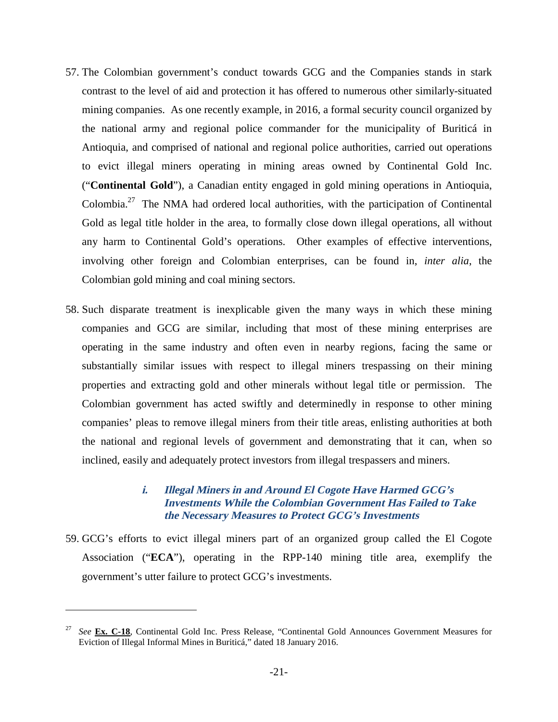- 57. The Colombian government's conduct towards GCG and the Companies stands in stark contrast to the level of aid and protection it has offered to numerous other similarly-situated mining companies. As one recently example, in 2016, a formal security council organized by the national army and regional police commander for the municipality of Buriticá in Antioquia, and comprised of national and regional police authorities, carried out operations to evict illegal miners operating in mining areas owned by Continental Gold Inc. ("**Continental Gold**"), a Canadian entity engaged in gold mining operations in Antioquia, Colombia.<sup>27</sup> The NMA had ordered local authorities, with the participation of Continental Gold as legal title holder in the area, to formally close down illegal operations, all without any harm to Continental Gold's operations. Other examples of effective interventions, involving other foreign and Colombian enterprises, can be found in, *inter alia*, the Colombian gold mining and coal mining sectors.
- 58. Such disparate treatment is inexplicable given the many ways in which these mining companies and GCG are similar, including that most of these mining enterprises are operating in the same industry and often even in nearby regions, facing the same or substantially similar issues with respect to illegal miners trespassing on their mining properties and extracting gold and other minerals without legal title or permission. The Colombian government has acted swiftly and determinedly in response to other mining companies' pleas to remove illegal miners from their title areas, enlisting authorities at both the national and regional levels of government and demonstrating that it can, when so inclined, easily and adequately protect investors from illegal trespassers and miners.

### **i. Illegal Miners in and Around El Cogote Have Harmed GCG's Investments While the Colombian Government Has Failed to Take the Necessary Measures to Protect GCG's Investments**

59. GCG's efforts to evict illegal miners part of an organized group called the El Cogote Association ("**ECA**"), operating in the RPP-140 mining title area, exemplify the government's utter failure to protect GCG's investments.

See **Ex. C-18**, Continental Gold Inc. Press Release, "Continental Gold Announces Government Measures for Eviction of Illegal Informal Mines in Buriticá," dated 18 January 2016.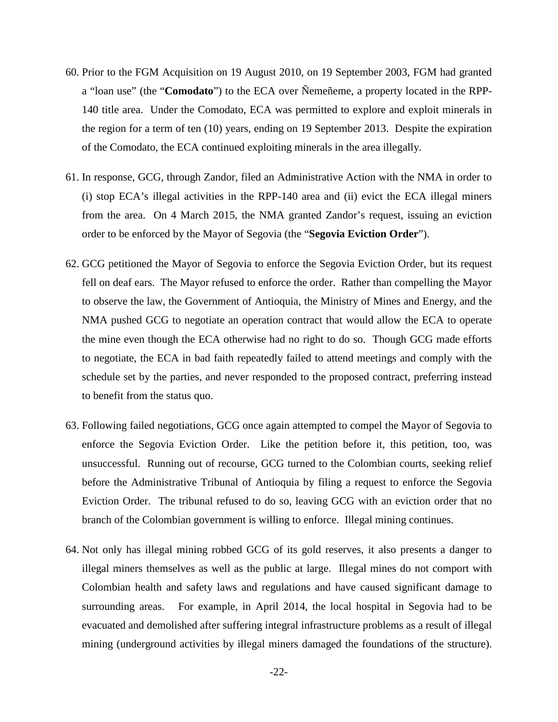- 60. Prior to the FGM Acquisition on 19 August 2010, on 19 September 2003, FGM had granted a "loan use" (the "**Comodato**") to the ECA over Ñemeñeme, a property located in the RPP-140 title area. Under the Comodato, ECA was permitted to explore and exploit minerals in the region for a term of ten (10) years, ending on 19 September 2013. Despite the expiration of the Comodato, the ECA continued exploiting minerals in the area illegally.
- 61. In response, GCG, through Zandor, filed an Administrative Action with the NMA in order to (i) stop ECA's illegal activities in the RPP-140 area and (ii) evict the ECA illegal miners from the area. On 4 March 2015, the NMA granted Zandor's request, issuing an eviction order to be enforced by the Mayor of Segovia (the "**Segovia Eviction Order**").
- 62. GCG petitioned the Mayor of Segovia to enforce the Segovia Eviction Order, but its request fell on deaf ears. The Mayor refused to enforce the order. Rather than compelling the Mayor to observe the law, the Government of Antioquia, the Ministry of Mines and Energy, and the NMA pushed GCG to negotiate an operation contract that would allow the ECA to operate the mine even though the ECA otherwise had no right to do so. Though GCG made efforts to negotiate, the ECA in bad faith repeatedly failed to attend meetings and comply with the schedule set by the parties, and never responded to the proposed contract, preferring instead to benefit from the status quo.
- 63. Following failed negotiations, GCG once again attempted to compel the Mayor of Segovia to enforce the Segovia Eviction Order. Like the petition before it, this petition, too, was unsuccessful. Running out of recourse, GCG turned to the Colombian courts, seeking relief before the Administrative Tribunal of Antioquia by filing a request to enforce the Segovia Eviction Order. The tribunal refused to do so, leaving GCG with an eviction order that no branch of the Colombian government is willing to enforce. Illegal mining continues.
- 64. Not only has illegal mining robbed GCG of its gold reserves, it also presents a danger to illegal miners themselves as well as the public at large. Illegal mines do not comport with Colombian health and safety laws and regulations and have caused significant damage to surrounding areas. For example, in April 2014, the local hospital in Segovia had to be evacuated and demolished after suffering integral infrastructure problems as a result of illegal mining (underground activities by illegal miners damaged the foundations of the structure).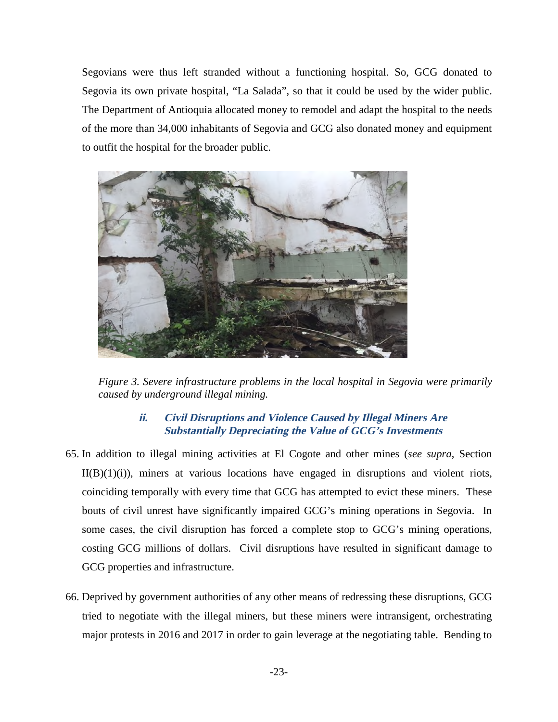Segovians were thus left stranded without a functioning hospital. So, GCG donated to Segovia its own private hospital, "La Salada", so that it could be used by the wider public. The Department of Antioquia allocated money to remodel and adapt the hospital to the needs of the more than 34,000 inhabitants of Segovia and GCG also donated money and equipment to outfit the hospital for the broader public.



*Figure 3. Severe infrastructure problems in the local hospital in Segovia were primarily caused by underground illegal mining.* 

# **ii. Civil Disruptions and Violence Caused by Illegal Miners Are Substantially Depreciating the Value of GCG's Investments**

- 65. In addition to illegal mining activities at El Cogote and other mines (*see supra*, Section  $II(B)(1)(i)$ , miners at various locations have engaged in disruptions and violent riots, coinciding temporally with every time that GCG has attempted to evict these miners. These bouts of civil unrest have significantly impaired GCG's mining operations in Segovia. In some cases, the civil disruption has forced a complete stop to GCG's mining operations, costing GCG millions of dollars. Civil disruptions have resulted in significant damage to GCG properties and infrastructure.
- 66. Deprived by government authorities of any other means of redressing these disruptions, GCG tried to negotiate with the illegal miners, but these miners were intransigent, orchestrating major protests in 2016 and 2017 in order to gain leverage at the negotiating table. Bending to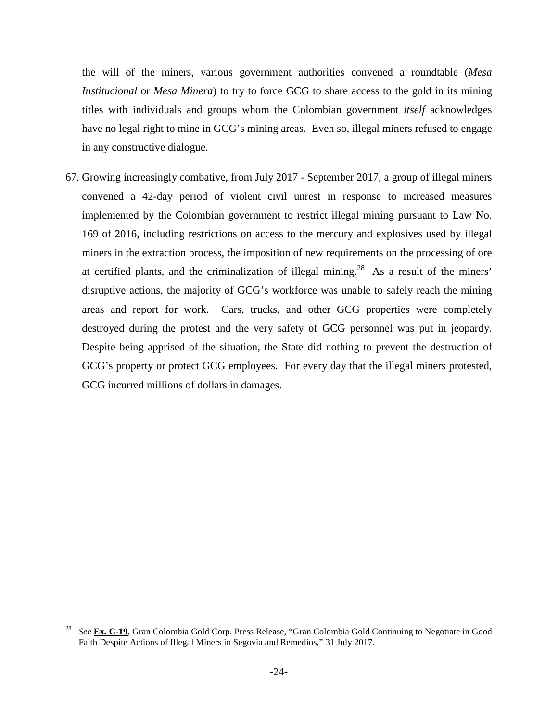the will of the miners, various government authorities convened a roundtable (*Mesa Institucional* or *Mesa Minera*) to try to force GCG to share access to the gold in its mining titles with individuals and groups whom the Colombian government *itself* acknowledges have no legal right to mine in GCG's mining areas. Even so, illegal miners refused to engage in any constructive dialogue.

67. Growing increasingly combative, from July 2017 - September 2017, a group of illegal miners convened a 42-day period of violent civil unrest in response to increased measures implemented by the Colombian government to restrict illegal mining pursuant to Law No. 169 of 2016, including restrictions on access to the mercury and explosives used by illegal miners in the extraction process, the imposition of new requirements on the processing of ore at certified plants, and the criminalization of illegal mining.<sup>28</sup> As a result of the miners' disruptive actions, the majority of GCG's workforce was unable to safely reach the mining areas and report for work. Cars, trucks, and other GCG properties were completely destroyed during the protest and the very safety of GCG personnel was put in jeopardy. Despite being apprised of the situation, the State did nothing to prevent the destruction of GCG's property or protect GCG employees. For every day that the illegal miners protested, GCG incurred millions of dollars in damages.

<sup>28</sup> *See* **Ex. C-19**, Gran Colombia Gold Corp. Press Release, "Gran Colombia Gold Continuing to Negotiate in Good Faith Despite Actions of Illegal Miners in Segovia and Remedios," 31 July 2017.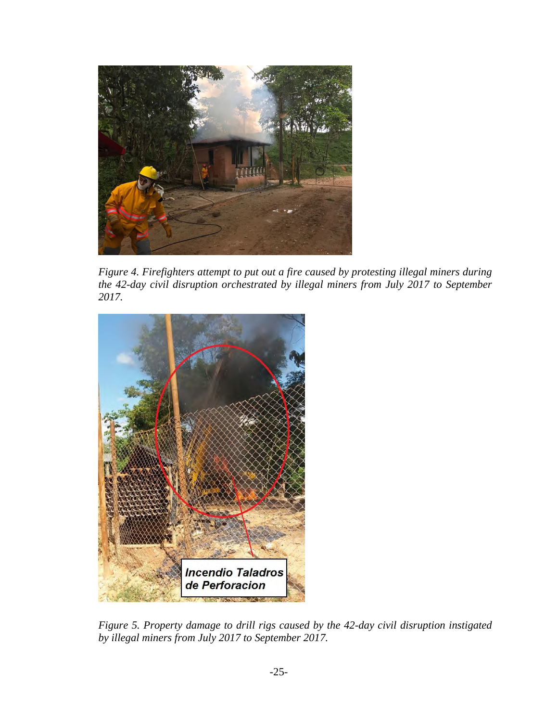

*Figure 4. Firefighters attempt to put out a fire caused by protesting illegal miners during the 42-day civil disruption orchestrated by illegal miners from July 2017 to September 2017.* 



*Figure 5. Property damage to drill rigs caused by the 42-day civil disruption instigated by illegal miners from July 2017 to September 2017.*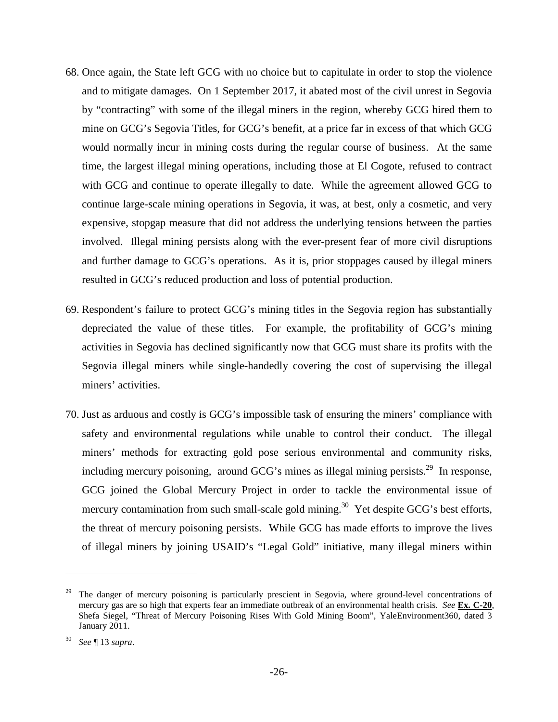- 68. Once again, the State left GCG with no choice but to capitulate in order to stop the violence and to mitigate damages. On 1 September 2017, it abated most of the civil unrest in Segovia by "contracting" with some of the illegal miners in the region, whereby GCG hired them to mine on GCG's Segovia Titles, for GCG's benefit, at a price far in excess of that which GCG would normally incur in mining costs during the regular course of business. At the same time, the largest illegal mining operations, including those at El Cogote, refused to contract with GCG and continue to operate illegally to date. While the agreement allowed GCG to continue large-scale mining operations in Segovia, it was, at best, only a cosmetic, and very expensive, stopgap measure that did not address the underlying tensions between the parties involved. Illegal mining persists along with the ever-present fear of more civil disruptions and further damage to GCG's operations. As it is, prior stoppages caused by illegal miners resulted in GCG's reduced production and loss of potential production.
- 69. Respondent's failure to protect GCG's mining titles in the Segovia region has substantially depreciated the value of these titles. For example, the profitability of GCG's mining activities in Segovia has declined significantly now that GCG must share its profits with the Segovia illegal miners while single-handedly covering the cost of supervising the illegal miners' activities.
- 70. Just as arduous and costly is GCG's impossible task of ensuring the miners' compliance with safety and environmental regulations while unable to control their conduct. The illegal miners' methods for extracting gold pose serious environmental and community risks, including mercury poisoning, around GCG's mines as illegal mining persists.<sup>29</sup> In response, GCG joined the Global Mercury Project in order to tackle the environmental issue of mercury contamination from such small-scale gold mining.<sup>30</sup> Yet despite GCG's best efforts, the threat of mercury poisoning persists. While GCG has made efforts to improve the lives of illegal miners by joining USAID's "Legal Gold" initiative, many illegal miners within

<sup>29</sup> The danger of mercury poisoning is particularly prescient in Segovia, where ground-level concentrations of mercury gas are so high that experts fear an immediate outbreak of an environmental health crisis. *See* **Ex. C-20**, Shefa Siegel, "Threat of Mercury Poisoning Rises With Gold Mining Boom", YaleEnvironment360, dated 3 January 2011.

<sup>30</sup> *See* ¶ 13 *supra*.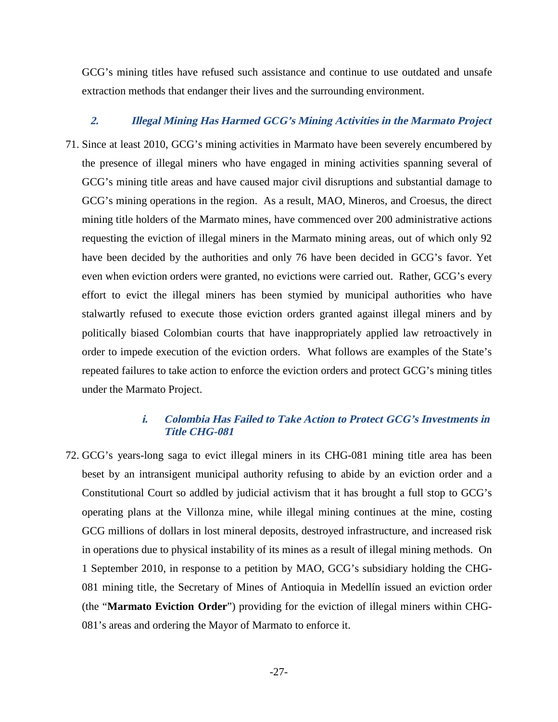GCG's mining titles have refused such assistance and continue to use outdated and unsafe extraction methods that endanger their lives and the surrounding environment.

#### **2. Illegal Mining Has Harmed GCG's Mining Activities in the Marmato Project**

71. Since at least 2010, GCG's mining activities in Marmato have been severely encumbered by the presence of illegal miners who have engaged in mining activities spanning several of GCG's mining title areas and have caused major civil disruptions and substantial damage to GCG's mining operations in the region. As a result, MAO, Mineros, and Croesus, the direct mining title holders of the Marmato mines, have commenced over 200 administrative actions requesting the eviction of illegal miners in the Marmato mining areas, out of which only 92 have been decided by the authorities and only 76 have been decided in GCG's favor. Yet even when eviction orders were granted, no evictions were carried out. Rather, GCG's every effort to evict the illegal miners has been stymied by municipal authorities who have stalwartly refused to execute those eviction orders granted against illegal miners and by politically biased Colombian courts that have inappropriately applied law retroactively in order to impede execution of the eviction orders. What follows are examples of the State's repeated failures to take action to enforce the eviction orders and protect GCG's mining titles under the Marmato Project.

#### **i. Colombia Has Failed to Take Action to Protect GCG's Investments in Title CHG-081**

72. GCG's years-long saga to evict illegal miners in its CHG-081 mining title area has been beset by an intransigent municipal authority refusing to abide by an eviction order and a Constitutional Court so addled by judicial activism that it has brought a full stop to GCG's operating plans at the Villonza mine, while illegal mining continues at the mine, costing GCG millions of dollars in lost mineral deposits, destroyed infrastructure, and increased risk in operations due to physical instability of its mines as a result of illegal mining methods. On 1 September 2010, in response to a petition by MAO, GCG's subsidiary holding the CHG-081 mining title, the Secretary of Mines of Antioquia in Medellín issued an eviction order (the "**Marmato Eviction Order**") providing for the eviction of illegal miners within CHG-081's areas and ordering the Mayor of Marmato to enforce it.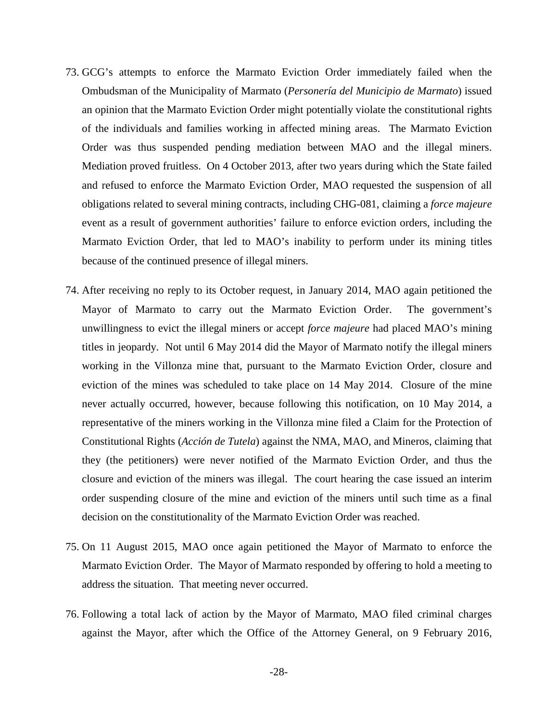- 73. GCG's attempts to enforce the Marmato Eviction Order immediately failed when the Ombudsman of the Municipality of Marmato (*Personería del Municipio de Marmato*) issued an opinion that the Marmato Eviction Order might potentially violate the constitutional rights of the individuals and families working in affected mining areas. The Marmato Eviction Order was thus suspended pending mediation between MAO and the illegal miners. Mediation proved fruitless. On 4 October 2013, after two years during which the State failed and refused to enforce the Marmato Eviction Order, MAO requested the suspension of all obligations related to several mining contracts, including CHG-081, claiming a *force majeure*  event as a result of government authorities' failure to enforce eviction orders, including the Marmato Eviction Order, that led to MAO's inability to perform under its mining titles because of the continued presence of illegal miners.
- 74. After receiving no reply to its October request, in January 2014, MAO again petitioned the Mayor of Marmato to carry out the Marmato Eviction Order. The government's unwillingness to evict the illegal miners or accept *force majeure* had placed MAO's mining titles in jeopardy. Not until 6 May 2014 did the Mayor of Marmato notify the illegal miners working in the Villonza mine that, pursuant to the Marmato Eviction Order, closure and eviction of the mines was scheduled to take place on 14 May 2014. Closure of the mine never actually occurred, however, because following this notification, on 10 May 2014, a representative of the miners working in the Villonza mine filed a Claim for the Protection of Constitutional Rights (*Acción de Tutela*) against the NMA, MAO, and Mineros, claiming that they (the petitioners) were never notified of the Marmato Eviction Order, and thus the closure and eviction of the miners was illegal. The court hearing the case issued an interim order suspending closure of the mine and eviction of the miners until such time as a final decision on the constitutionality of the Marmato Eviction Order was reached.
- 75. On 11 August 2015, MAO once again petitioned the Mayor of Marmato to enforce the Marmato Eviction Order. The Mayor of Marmato responded by offering to hold a meeting to address the situation. That meeting never occurred.
- 76. Following a total lack of action by the Mayor of Marmato, MAO filed criminal charges against the Mayor, after which the Office of the Attorney General, on 9 February 2016,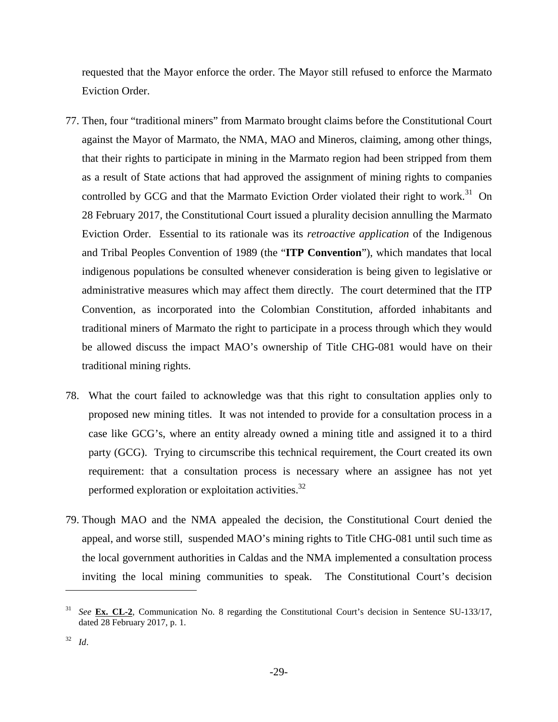requested that the Mayor enforce the order. The Mayor still refused to enforce the Marmato Eviction Order.

- 77. Then, four "traditional miners" from Marmato brought claims before the Constitutional Court against the Mayor of Marmato, the NMA, MAO and Mineros, claiming, among other things, that their rights to participate in mining in the Marmato region had been stripped from them as a result of State actions that had approved the assignment of mining rights to companies controlled by GCG and that the Marmato Eviction Order violated their right to work.<sup>31</sup> On 28 February 2017, the Constitutional Court issued a plurality decision annulling the Marmato Eviction Order. Essential to its rationale was its *retroactive application* of the Indigenous and Tribal Peoples Convention of 1989 (the "**ITP Convention**"), which mandates that local indigenous populations be consulted whenever consideration is being given to legislative or administrative measures which may affect them directly. The court determined that the ITP Convention, as incorporated into the Colombian Constitution, afforded inhabitants and traditional miners of Marmato the right to participate in a process through which they would be allowed discuss the impact MAO's ownership of Title CHG-081 would have on their traditional mining rights.
- 78. What the court failed to acknowledge was that this right to consultation applies only to proposed new mining titles. It was not intended to provide for a consultation process in a case like GCG's, where an entity already owned a mining title and assigned it to a third party (GCG). Trying to circumscribe this technical requirement, the Court created its own requirement: that a consultation process is necessary where an assignee has not yet performed exploration or exploitation activities.<sup>32</sup>
- 79. Though MAO and the NMA appealed the decision, the Constitutional Court denied the appeal, and worse still, suspended MAO's mining rights to Title CHG-081 until such time as the local government authorities in Caldas and the NMA implemented a consultation process inviting the local mining communities to speak. The Constitutional Court's decision

<sup>31</sup> *See* **Ex. CL-2**, Communication No. 8 regarding the Constitutional Court's decision in Sentence SU-133/17, dated 28 February 2017, p. 1.

<sup>32</sup> *Id*.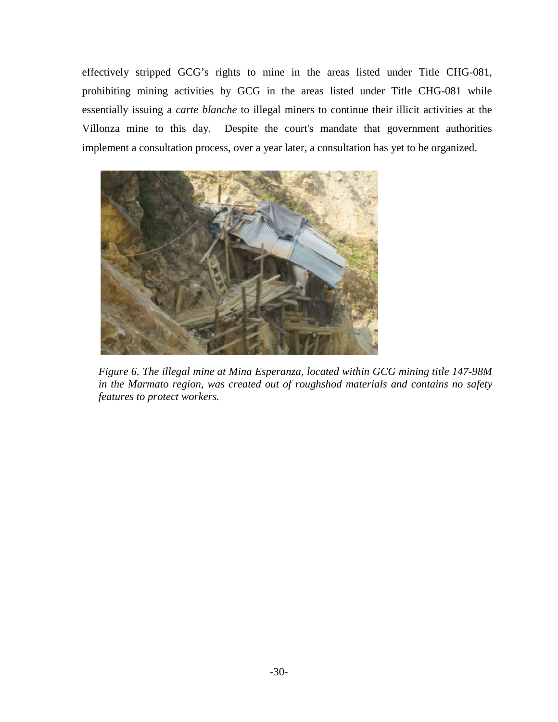effectively stripped GCG's rights to mine in the areas listed under Title CHG-081, prohibiting mining activities by GCG in the areas listed under Title CHG-081 while essentially issuing a *carte blanche* to illegal miners to continue their illicit activities at the Villonza mine to this day. Despite the court's mandate that government authorities implement a consultation process, over a year later, a consultation has yet to be organized.



*Figure 6. The illegal mine at Mina Esperanza, located within GCG mining title 147-98M in the Marmato region, was created out of roughshod materials and contains no safety features to protect workers.*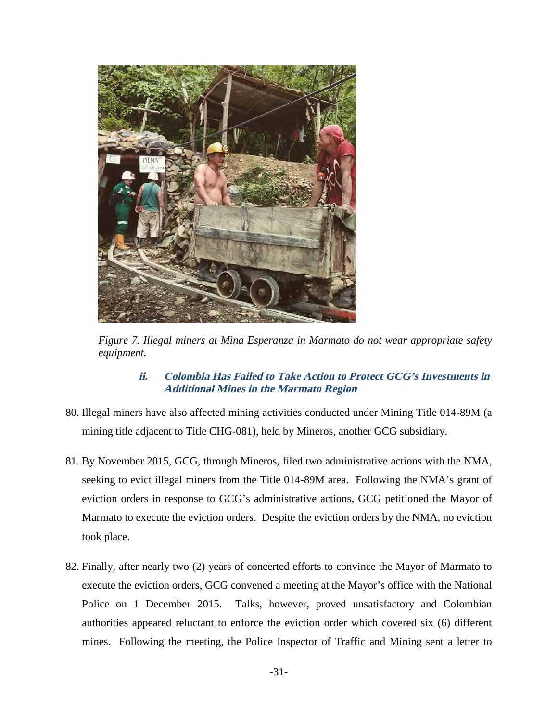

*Figure 7. Illegal miners at Mina Esperanza in Marmato do not wear appropriate safety equipment.* 

## **ii. Colombia Has Failed to Take Action to Protect GCG's Investments in Additional Mines in the Marmato Region**

- 80. Illegal miners have also affected mining activities conducted under Mining Title 014-89M (a mining title adjacent to Title CHG-081), held by Mineros, another GCG subsidiary.
- 81. By November 2015, GCG, through Mineros, filed two administrative actions with the NMA, seeking to evict illegal miners from the Title 014-89M area. Following the NMA's grant of eviction orders in response to GCG's administrative actions, GCG petitioned the Mayor of Marmato to execute the eviction orders. Despite the eviction orders by the NMA, no eviction took place.
- 82. Finally, after nearly two (2) years of concerted efforts to convince the Mayor of Marmato to execute the eviction orders, GCG convened a meeting at the Mayor's office with the National Police on 1 December 2015. Talks, however, proved unsatisfactory and Colombian authorities appeared reluctant to enforce the eviction order which covered six (6) different mines. Following the meeting, the Police Inspector of Traffic and Mining sent a letter to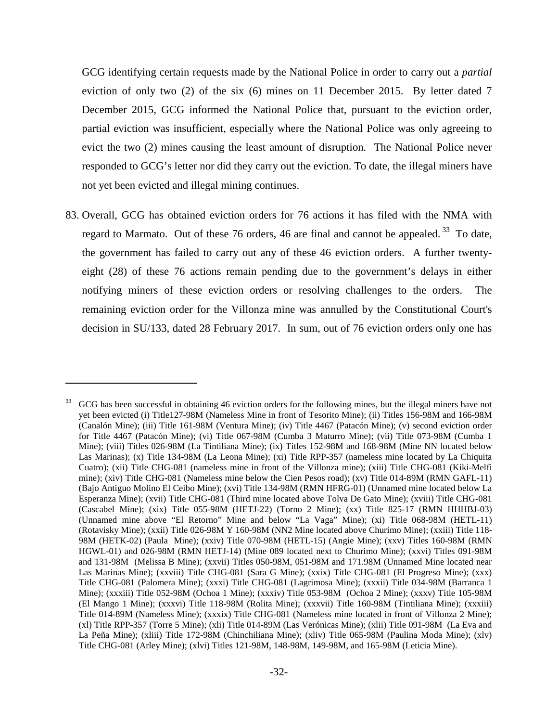GCG identifying certain requests made by the National Police in order to carry out a *partial* eviction of only two (2) of the six (6) mines on 11 December 2015. By letter dated 7 December 2015, GCG informed the National Police that, pursuant to the eviction order, partial eviction was insufficient, especially where the National Police was only agreeing to evict the two (2) mines causing the least amount of disruption. The National Police never responded to GCG's letter nor did they carry out the eviction. To date, the illegal miners have not yet been evicted and illegal mining continues.

83. Overall, GCG has obtained eviction orders for 76 actions it has filed with the NMA with regard to Marmato. Out of these 76 orders, 46 are final and cannot be appealed.<sup>33</sup> To date, the government has failed to carry out any of these 46 eviction orders. A further twentyeight (28) of these 76 actions remain pending due to the government's delays in either notifying miners of these eviction orders or resolving challenges to the orders. The remaining eviction order for the Villonza mine was annulled by the Constitutional Court's decision in SU/133, dated 28 February 2017. In sum, out of 76 eviction orders only one has

 $33$  GCG has been successful in obtaining 46 eviction orders for the following mines, but the illegal miners have not yet been evicted (i) Title127-98M (Nameless Mine in front of Tesorito Mine); (ii) Titles 156-98M and 166-98M (Canalón Mine); (iii) Title 161-98M (Ventura Mine); (iv) Title 4467 (Patacón Mine); (v) second eviction order for Title 4467 (Patacón Mine); (vi) Title 067-98M (Cumba 3 Maturro Mine); (vii) Title 073-98M (Cumba 1 Mine); (viii) Titles 026-98M (La Tintiliana Mine); (ix) Titles 152-98M and 168-98M (Mine NN located below Las Marinas); (x) Title 134-98M (La Leona Mine); (xi) Title RPP-357 (nameless mine located by La Chiquita Cuatro); (xii) Title CHG-081 (nameless mine in front of the Villonza mine); (xiii) Title CHG-081 (Kiki-Melfi mine); (xiv) Title CHG-081 (Nameless mine below the Cien Pesos road); (xv) Title 014-89M (RMN GAFL-11) (Bajo Antiguo Molino El Ceibo Mine); (xvi) Title 134-98M (RMN HFRG-01) (Unnamed mine located below La Esperanza Mine); (xvii) Title CHG-081 (Third mine located above Tolva De Gato Mine); (xviii) Title CHG-081 (Cascabel Mine); (xix) Title 055-98M (HETJ-22) (Torno 2 Mine); (xx) Title 825-17 (RMN HHHBJ-03) (Unnamed mine above "El Retorno" Mine and below "La Vaga" Mine); (xi) Title 068-98M (HETL-11) (Rotavisky Mine); (xxii) Title 026-98M Y 160-98M (NN2 Mine located above Churimo Mine); (xxiii) Title 118- 98M (HETK-02) (Paula Mine); (xxiv) Title 070-98M (HETL-15) (Angie Mine); (xxv) Titles 160-98M (RMN HGWL-01) and 026-98M (RMN HETJ-14) (Mine 089 located next to Churimo Mine); (xxvi) Titles 091-98M and 131-98M (Melissa B Mine); (xxvii) Titles 050-98M, 051-98M and 171.98M (Unnamed Mine located near Las Marinas Mine); (xxviii) Title CHG-081 (Sara G Mine); (xxix) Title CHG-081 (El Progreso Mine); (xxx) Title CHG-081 (Palomera Mine); (xxxi) Title CHG-081 (Lagrimosa Mine); (xxxii) Title 034-98M (Barranca 1 Mine); (xxxiii) Title 052-98M (Ochoa 1 Mine); (xxxiv) Title 053-98M (Ochoa 2 Mine); (xxxv) Title 105-98M (El Mango 1 Mine); (xxxvi) Title 118-98M (Rolita Mine); (xxxvii) Title 160-98M (Tintiliana Mine); (xxxiii) Title 014-89M (Nameless Mine); (xxxix) Title CHG-081 (Nameless mine located in front of Villonza 2 Mine); (xl) Title RPP-357 (Torre 5 Mine); (xli) Title 014-89M (Las Verónicas Mine); (xlii) Title 091-98M (La Eva and La Peña Mine); (xliii) Title 172-98M (Chinchiliana Mine); (xliv) Title 065-98M (Paulina Moda Mine); (xlv) Title CHG-081 (Arley Mine); (xlvi) Titles 121-98M, 148-98M, 149-98M, and 165-98M (Leticia Mine).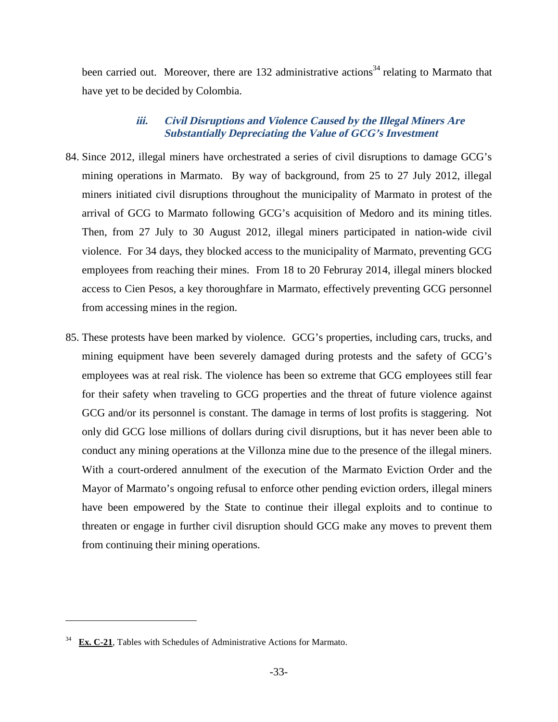been carried out. Moreover, there are 132 administrative actions<sup>34</sup> relating to Marmato that have yet to be decided by Colombia.

# **iii. Civil Disruptions and Violence Caused by the Illegal Miners Are Substantially Depreciating the Value of GCG's Investment**

- 84. Since 2012, illegal miners have orchestrated a series of civil disruptions to damage GCG's mining operations in Marmato. By way of background, from 25 to 27 July 2012, illegal miners initiated civil disruptions throughout the municipality of Marmato in protest of the arrival of GCG to Marmato following GCG's acquisition of Medoro and its mining titles. Then, from 27 July to 30 August 2012, illegal miners participated in nation-wide civil violence. For 34 days, they blocked access to the municipality of Marmato, preventing GCG employees from reaching their mines. From 18 to 20 Februray 2014, illegal miners blocked access to Cien Pesos, a key thoroughfare in Marmato, effectively preventing GCG personnel from accessing mines in the region.
- 85. These protests have been marked by violence. GCG's properties, including cars, trucks, and mining equipment have been severely damaged during protests and the safety of GCG's employees was at real risk. The violence has been so extreme that GCG employees still fear for their safety when traveling to GCG properties and the threat of future violence against GCG and/or its personnel is constant. The damage in terms of lost profits is staggering. Not only did GCG lose millions of dollars during civil disruptions, but it has never been able to conduct any mining operations at the Villonza mine due to the presence of the illegal miners. With a court-ordered annulment of the execution of the Marmato Eviction Order and the Mayor of Marmato's ongoing refusal to enforce other pending eviction orders, illegal miners have been empowered by the State to continue their illegal exploits and to continue to threaten or engage in further civil disruption should GCG make any moves to prevent them from continuing their mining operations.

Ex. C-21, Tables with Schedules of Administrative Actions for Marmato.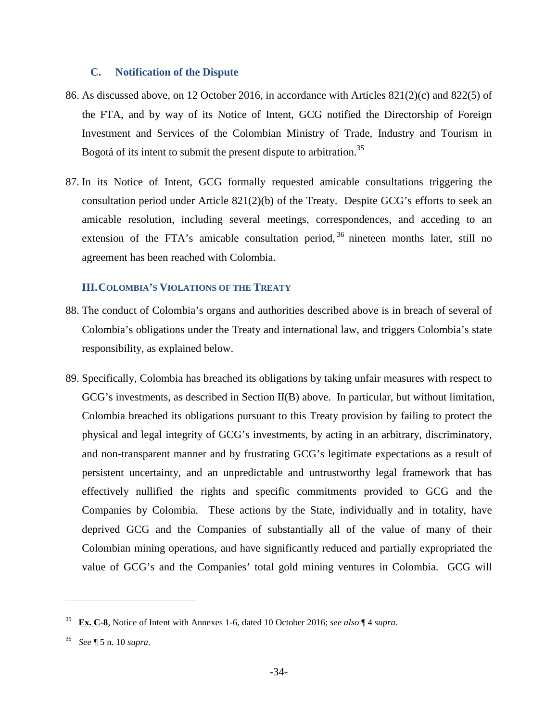#### **C. Notification of the Dispute**

- 86. As discussed above, on 12 October 2016, in accordance with Articles 821(2)(c) and 822(5) of the FTA, and by way of its Notice of Intent, GCG notified the Directorship of Foreign Investment and Services of the Colombian Ministry of Trade, Industry and Tourism in Bogotá of its intent to submit the present dispute to arbitration.<sup>35</sup>
- 87. In its Notice of Intent, GCG formally requested amicable consultations triggering the consultation period under Article 821(2)(b) of the Treaty. Despite GCG's efforts to seek an amicable resolution, including several meetings, correspondences, and acceding to an extension of the FTA's amicable consultation period,  $36$  nineteen months later, still no agreement has been reached with Colombia.

#### **III.COLOMBIA'S VIOLATIONS OF THE TREATY**

- 88. The conduct of Colombia's organs and authorities described above is in breach of several of Colombia's obligations under the Treaty and international law, and triggers Colombia's state responsibility, as explained below.
- 89. Specifically, Colombia has breached its obligations by taking unfair measures with respect to GCG's investments, as described in Section II(B) above. In particular, but without limitation, Colombia breached its obligations pursuant to this Treaty provision by failing to protect the physical and legal integrity of GCG's investments, by acting in an arbitrary, discriminatory, and non-transparent manner and by frustrating GCG's legitimate expectations as a result of persistent uncertainty, and an unpredictable and untrustworthy legal framework that has effectively nullified the rights and specific commitments provided to GCG and the Companies by Colombia. These actions by the State, individually and in totality, have deprived GCG and the Companies of substantially all of the value of many of their Colombian mining operations, and have significantly reduced and partially expropriated the value of GCG's and the Companies' total gold mining ventures in Colombia. GCG will

<sup>35</sup> **Ex. C-8**, Notice of Intent with Annexes 1-6, dated 10 October 2016; *see also* ¶ 4 *supra*.

<sup>36</sup> *See* ¶ 5 n. 10 *supra*.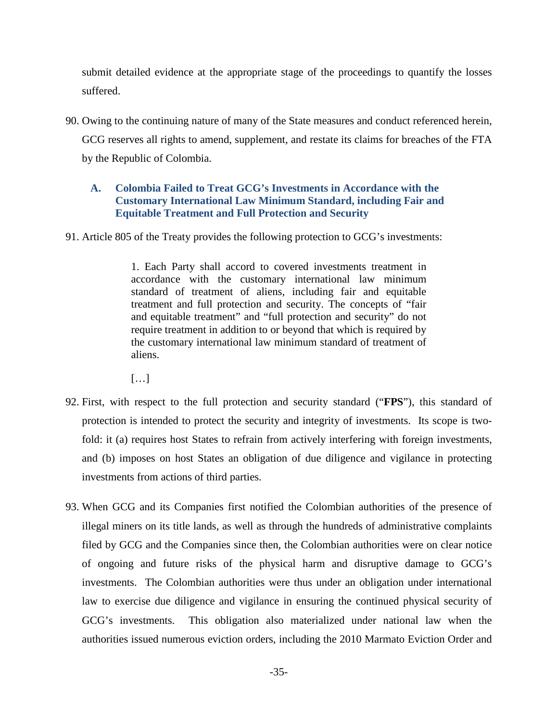submit detailed evidence at the appropriate stage of the proceedings to quantify the losses suffered.

90. Owing to the continuing nature of many of the State measures and conduct referenced herein, GCG reserves all rights to amend, supplement, and restate its claims for breaches of the FTA by the Republic of Colombia.

## **A. Colombia Failed to Treat GCG's Investments in Accordance with the Customary International Law Minimum Standard, including Fair and Equitable Treatment and Full Protection and Security**

91. Article 805 of the Treaty provides the following protection to GCG's investments:

1. Each Party shall accord to covered investments treatment in accordance with the customary international law minimum standard of treatment of aliens, including fair and equitable treatment and full protection and security. The concepts of "fair and equitable treatment" and "full protection and security" do not require treatment in addition to or beyond that which is required by the customary international law minimum standard of treatment of aliens.

 $\lceil$ ...]

- 92. First, with respect to the full protection and security standard ("**FPS**"), this standard of protection is intended to protect the security and integrity of investments. Its scope is twofold: it (a) requires host States to refrain from actively interfering with foreign investments, and (b) imposes on host States an obligation of due diligence and vigilance in protecting investments from actions of third parties.
- 93. When GCG and its Companies first notified the Colombian authorities of the presence of illegal miners on its title lands, as well as through the hundreds of administrative complaints filed by GCG and the Companies since then, the Colombian authorities were on clear notice of ongoing and future risks of the physical harm and disruptive damage to GCG's investments. The Colombian authorities were thus under an obligation under international law to exercise due diligence and vigilance in ensuring the continued physical security of GCG's investments. This obligation also materialized under national law when the authorities issued numerous eviction orders, including the 2010 Marmato Eviction Order and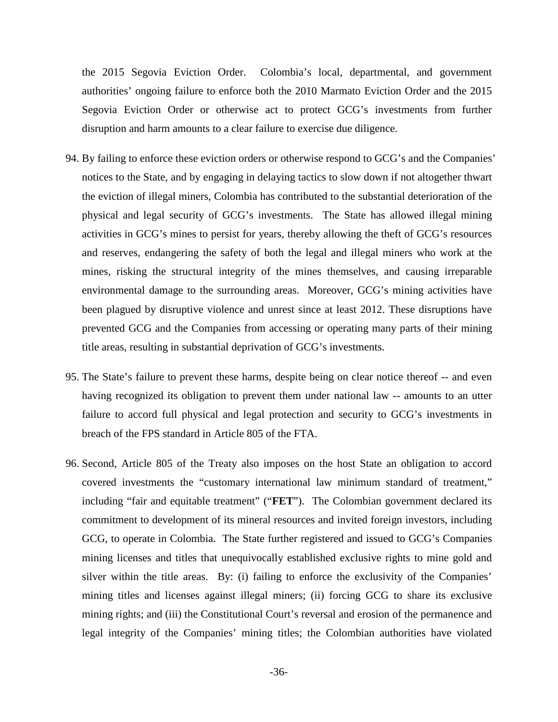the 2015 Segovia Eviction Order. Colombia's local, departmental, and government authorities' ongoing failure to enforce both the 2010 Marmato Eviction Order and the 2015 Segovia Eviction Order or otherwise act to protect GCG's investments from further disruption and harm amounts to a clear failure to exercise due diligence.

- 94. By failing to enforce these eviction orders or otherwise respond to GCG's and the Companies' notices to the State, and by engaging in delaying tactics to slow down if not altogether thwart the eviction of illegal miners, Colombia has contributed to the substantial deterioration of the physical and legal security of GCG's investments. The State has allowed illegal mining activities in GCG's mines to persist for years, thereby allowing the theft of GCG's resources and reserves, endangering the safety of both the legal and illegal miners who work at the mines, risking the structural integrity of the mines themselves, and causing irreparable environmental damage to the surrounding areas. Moreover, GCG's mining activities have been plagued by disruptive violence and unrest since at least 2012. These disruptions have prevented GCG and the Companies from accessing or operating many parts of their mining title areas, resulting in substantial deprivation of GCG's investments.
- 95. The State's failure to prevent these harms, despite being on clear notice thereof -- and even having recognized its obligation to prevent them under national law -- amounts to an utter failure to accord full physical and legal protection and security to GCG's investments in breach of the FPS standard in Article 805 of the FTA.
- 96. Second, Article 805 of the Treaty also imposes on the host State an obligation to accord covered investments the "customary international law minimum standard of treatment," including "fair and equitable treatment" ("**FET**"). The Colombian government declared its commitment to development of its mineral resources and invited foreign investors, including GCG, to operate in Colombia. The State further registered and issued to GCG's Companies mining licenses and titles that unequivocally established exclusive rights to mine gold and silver within the title areas. By: (i) failing to enforce the exclusivity of the Companies' mining titles and licenses against illegal miners; (ii) forcing GCG to share its exclusive mining rights; and (iii) the Constitutional Court's reversal and erosion of the permanence and legal integrity of the Companies' mining titles; the Colombian authorities have violated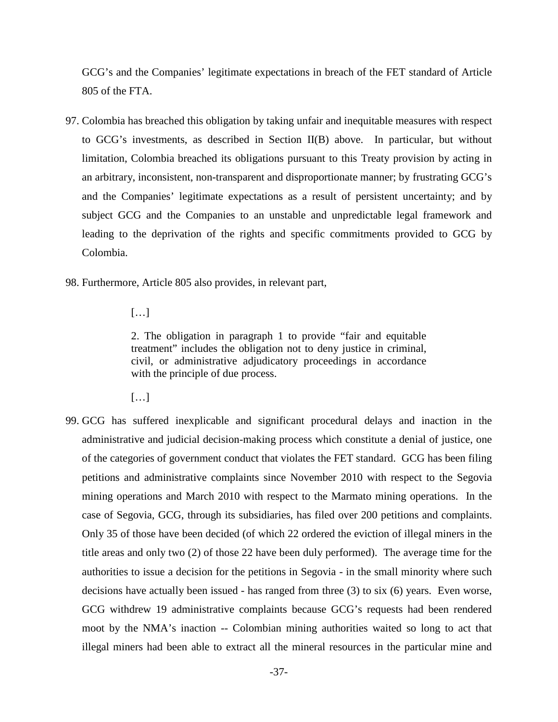GCG's and the Companies' legitimate expectations in breach of the FET standard of Article 805 of the FTA.

- 97. Colombia has breached this obligation by taking unfair and inequitable measures with respect to GCG's investments, as described in Section II(B) above. In particular, but without limitation, Colombia breached its obligations pursuant to this Treaty provision by acting in an arbitrary, inconsistent, non-transparent and disproportionate manner; by frustrating GCG's and the Companies' legitimate expectations as a result of persistent uncertainty; and by subject GCG and the Companies to an unstable and unpredictable legal framework and leading to the deprivation of the rights and specific commitments provided to GCG by Colombia.
- 98. Furthermore, Article 805 also provides, in relevant part,
	- […]

2. The obligation in paragraph 1 to provide "fair and equitable treatment" includes the obligation not to deny justice in criminal, civil, or administrative adjudicatory proceedings in accordance with the principle of due process.

- $[...]$
- 99. GCG has suffered inexplicable and significant procedural delays and inaction in the administrative and judicial decision-making process which constitute a denial of justice, one of the categories of government conduct that violates the FET standard. GCG has been filing petitions and administrative complaints since November 2010 with respect to the Segovia mining operations and March 2010 with respect to the Marmato mining operations. In the case of Segovia, GCG, through its subsidiaries, has filed over 200 petitions and complaints. Only 35 of those have been decided (of which 22 ordered the eviction of illegal miners in the title areas and only two (2) of those 22 have been duly performed). The average time for the authorities to issue a decision for the petitions in Segovia - in the small minority where such decisions have actually been issued - has ranged from three (3) to six (6) years. Even worse, GCG withdrew 19 administrative complaints because GCG's requests had been rendered moot by the NMA's inaction -- Colombian mining authorities waited so long to act that illegal miners had been able to extract all the mineral resources in the particular mine and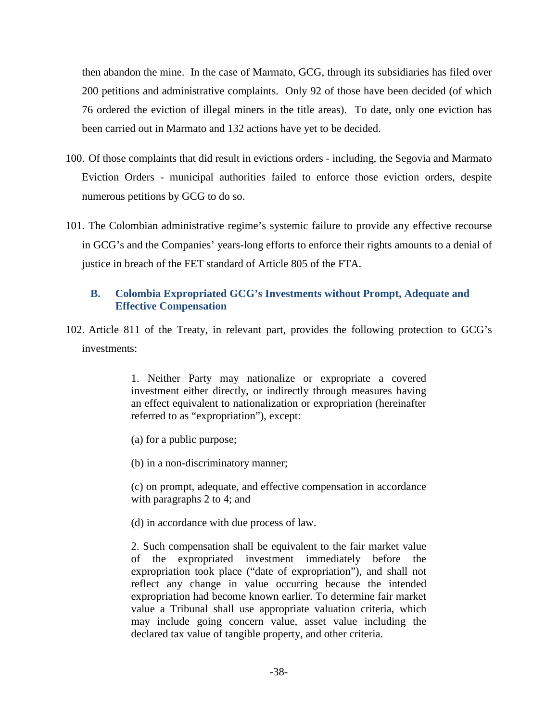then abandon the mine. In the case of Marmato, GCG, through its subsidiaries has filed over 200 petitions and administrative complaints. Only 92 of those have been decided (of which 76 ordered the eviction of illegal miners in the title areas). To date, only one eviction has been carried out in Marmato and 132 actions have yet to be decided.

- 100. Of those complaints that did result in evictions orders including, the Segovia and Marmato Eviction Orders - municipal authorities failed to enforce those eviction orders, despite numerous petitions by GCG to do so.
- 101. The Colombian administrative regime's systemic failure to provide any effective recourse in GCG's and the Companies' years-long efforts to enforce their rights amounts to a denial of justice in breach of the FET standard of Article 805 of the FTA.

# **B. Colombia Expropriated GCG's Investments without Prompt, Adequate and Effective Compensation**

102. Article 811 of the Treaty, in relevant part, provides the following protection to GCG's investments:

> 1. Neither Party may nationalize or expropriate a covered investment either directly, or indirectly through measures having an effect equivalent to nationalization or expropriation (hereinafter referred to as "expropriation"), except:

- (a) for a public purpose;
- (b) in a non-discriminatory manner;
- (c) on prompt, adequate, and effective compensation in accordance with paragraphs 2 to 4; and
- (d) in accordance with due process of law.

2. Such compensation shall be equivalent to the fair market value of the expropriated investment immediately before the expropriation took place ("date of expropriation"), and shall not reflect any change in value occurring because the intended expropriation had become known earlier. To determine fair market value a Tribunal shall use appropriate valuation criteria, which may include going concern value, asset value including the declared tax value of tangible property, and other criteria.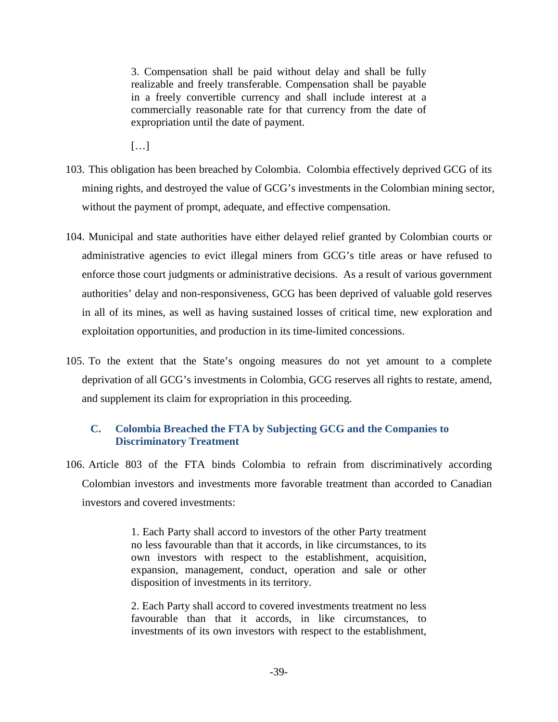3. Compensation shall be paid without delay and shall be fully realizable and freely transferable. Compensation shall be payable in a freely convertible currency and shall include interest at a commercially reasonable rate for that currency from the date of expropriation until the date of payment.

 $[...]$ 

- 103. This obligation has been breached by Colombia. Colombia effectively deprived GCG of its mining rights, and destroyed the value of GCG's investments in the Colombian mining sector, without the payment of prompt, adequate, and effective compensation.
- 104. Municipal and state authorities have either delayed relief granted by Colombian courts or administrative agencies to evict illegal miners from GCG's title areas or have refused to enforce those court judgments or administrative decisions. As a result of various government authorities' delay and non-responsiveness, GCG has been deprived of valuable gold reserves in all of its mines, as well as having sustained losses of critical time, new exploration and exploitation opportunities, and production in its time-limited concessions.
- 105. To the extent that the State's ongoing measures do not yet amount to a complete deprivation of all GCG's investments in Colombia, GCG reserves all rights to restate, amend, and supplement its claim for expropriation in this proceeding.

# **C. Colombia Breached the FTA by Subjecting GCG and the Companies to Discriminatory Treatment**

106. Article 803 of the FTA binds Colombia to refrain from discriminatively according Colombian investors and investments more favorable treatment than accorded to Canadian investors and covered investments:

> 1. Each Party shall accord to investors of the other Party treatment no less favourable than that it accords, in like circumstances, to its own investors with respect to the establishment, acquisition, expansion, management, conduct, operation and sale or other disposition of investments in its territory.

> 2. Each Party shall accord to covered investments treatment no less favourable than that it accords, in like circumstances, to investments of its own investors with respect to the establishment,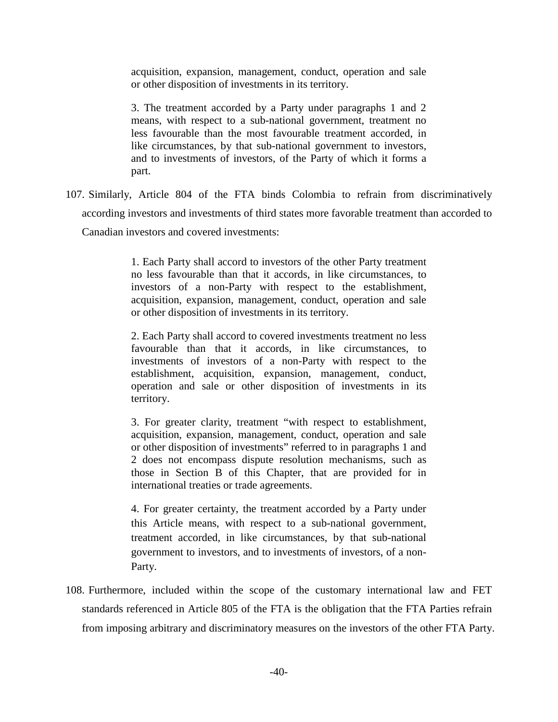acquisition, expansion, management, conduct, operation and sale or other disposition of investments in its territory.

3. The treatment accorded by a Party under paragraphs 1 and 2 means, with respect to a sub-national government, treatment no less favourable than the most favourable treatment accorded, in like circumstances, by that sub-national government to investors, and to investments of investors, of the Party of which it forms a part.

107. Similarly, Article 804 of the FTA binds Colombia to refrain from discriminatively according investors and investments of third states more favorable treatment than accorded to

Canadian investors and covered investments:

1. Each Party shall accord to investors of the other Party treatment no less favourable than that it accords, in like circumstances, to investors of a non-Party with respect to the establishment, acquisition, expansion, management, conduct, operation and sale or other disposition of investments in its territory.

2. Each Party shall accord to covered investments treatment no less favourable than that it accords, in like circumstances, to investments of investors of a non-Party with respect to the establishment, acquisition, expansion, management, conduct, operation and sale or other disposition of investments in its territory.

3. For greater clarity, treatment "with respect to establishment, acquisition, expansion, management, conduct, operation and sale or other disposition of investments" referred to in paragraphs 1 and 2 does not encompass dispute resolution mechanisms, such as those in Section B of this Chapter, that are provided for in international treaties or trade agreements.

4. For greater certainty, the treatment accorded by a Party under this Article means, with respect to a sub-national government, treatment accorded, in like circumstances, by that sub-national government to investors, and to investments of investors, of a non-Party.

108. Furthermore, included within the scope of the customary international law and FET standards referenced in Article 805 of the FTA is the obligation that the FTA Parties refrain from imposing arbitrary and discriminatory measures on the investors of the other FTA Party.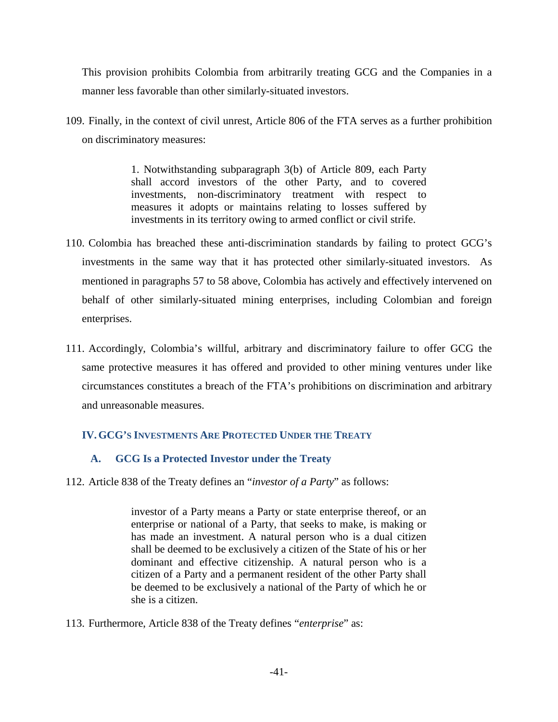This provision prohibits Colombia from arbitrarily treating GCG and the Companies in a manner less favorable than other similarly-situated investors.

109. Finally, in the context of civil unrest, Article 806 of the FTA serves as a further prohibition on discriminatory measures:

> 1. Notwithstanding subparagraph 3(b) of Article 809, each Party shall accord investors of the other Party, and to covered investments, non-discriminatory treatment with respect to measures it adopts or maintains relating to losses suffered by investments in its territory owing to armed conflict or civil strife.

- 110. Colombia has breached these anti-discrimination standards by failing to protect GCG's investments in the same way that it has protected other similarly-situated investors. As mentioned in paragraphs 57 to 58 above, Colombia has actively and effectively intervened on behalf of other similarly-situated mining enterprises, including Colombian and foreign enterprises.
- 111. Accordingly, Colombia's willful, arbitrary and discriminatory failure to offer GCG the same protective measures it has offered and provided to other mining ventures under like circumstances constitutes a breach of the FTA's prohibitions on discrimination and arbitrary and unreasonable measures.

# **IV.GCG'S INVESTMENTS ARE PROTECTED UNDER THE TREATY**

# **A. GCG Is a Protected Investor under the Treaty**

112. Article 838 of the Treaty defines an "*investor of a Party*" as follows:

investor of a Party means a Party or state enterprise thereof, or an enterprise or national of a Party, that seeks to make, is making or has made an investment. A natural person who is a dual citizen shall be deemed to be exclusively a citizen of the State of his or her dominant and effective citizenship. A natural person who is a citizen of a Party and a permanent resident of the other Party shall be deemed to be exclusively a national of the Party of which he or she is a citizen.

113. Furthermore, Article 838 of the Treaty defines "*enterprise*" as: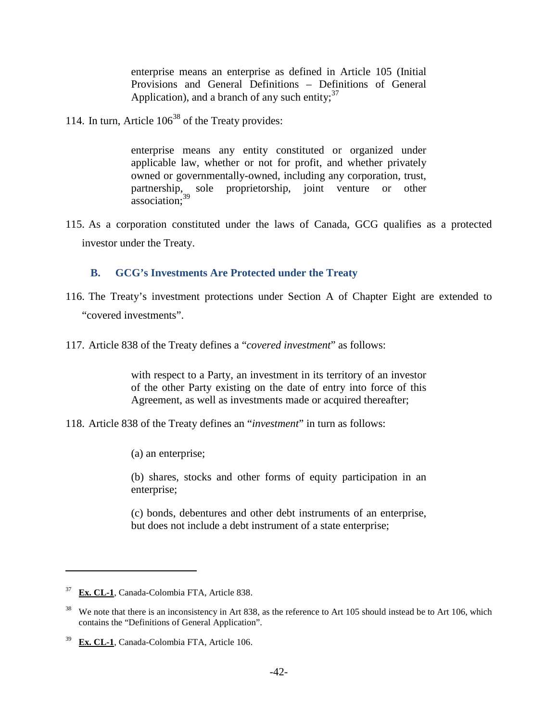enterprise means an enterprise as defined in Article 105 (Initial Provisions and General Definitions – Definitions of General Application), and a branch of any such entity;  $37$ 

114. In turn, Article  $106^{38}$  of the Treaty provides:

enterprise means any entity constituted or organized under applicable law, whether or not for profit, and whether privately owned or governmentally-owned, including any corporation, trust, partnership, sole proprietorship, joint venture or other association;<sup>39</sup>

115. As a corporation constituted under the laws of Canada, GCG qualifies as a protected investor under the Treaty.

# **B. GCG's Investments Are Protected under the Treaty**

- 116. The Treaty's investment protections under Section A of Chapter Eight are extended to "covered investments".
- 117. Article 838 of the Treaty defines a "*covered investment*" as follows:

with respect to a Party, an investment in its territory of an investor of the other Party existing on the date of entry into force of this Agreement, as well as investments made or acquired thereafter;

118. Article 838 of the Treaty defines an "*investment*" in turn as follows:

(a) an enterprise;

(b) shares, stocks and other forms of equity participation in an enterprise;

(c) bonds, debentures and other debt instruments of an enterprise, but does not include a debt instrument of a state enterprise;

<sup>37</sup> **Ex. CL-1**, Canada-Colombia FTA, Article 838.

 $38$  We note that there is an inconsistency in Art 838, as the reference to Art 105 should instead be to Art 106, which contains the "Definitions of General Application".

<sup>39</sup> **Ex. CL-1**, Canada-Colombia FTA, Article 106.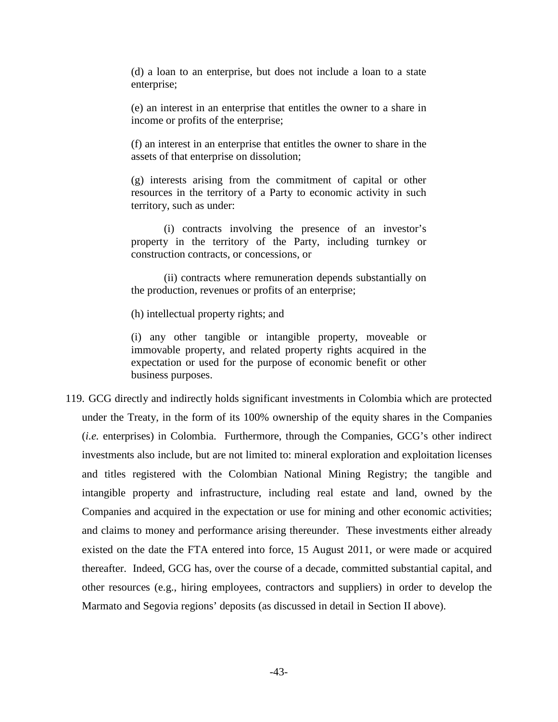(d) a loan to an enterprise, but does not include a loan to a state enterprise;

(e) an interest in an enterprise that entitles the owner to a share in income or profits of the enterprise;

(f) an interest in an enterprise that entitles the owner to share in the assets of that enterprise on dissolution;

(g) interests arising from the commitment of capital or other resources in the territory of a Party to economic activity in such territory, such as under:

(i) contracts involving the presence of an investor's property in the territory of the Party, including turnkey or construction contracts, or concessions, or

(ii) contracts where remuneration depends substantially on the production, revenues or profits of an enterprise;

(h) intellectual property rights; and

(i) any other tangible or intangible property, moveable or immovable property, and related property rights acquired in the expectation or used for the purpose of economic benefit or other business purposes.

119. GCG directly and indirectly holds significant investments in Colombia which are protected under the Treaty, in the form of its 100% ownership of the equity shares in the Companies (*i.e.* enterprises) in Colombia. Furthermore, through the Companies, GCG's other indirect investments also include, but are not limited to: mineral exploration and exploitation licenses and titles registered with the Colombian National Mining Registry; the tangible and intangible property and infrastructure, including real estate and land, owned by the Companies and acquired in the expectation or use for mining and other economic activities; and claims to money and performance arising thereunder. These investments either already existed on the date the FTA entered into force, 15 August 2011, or were made or acquired thereafter. Indeed, GCG has, over the course of a decade, committed substantial capital, and other resources (e.g., hiring employees, contractors and suppliers) in order to develop the Marmato and Segovia regions' deposits (as discussed in detail in Section II above).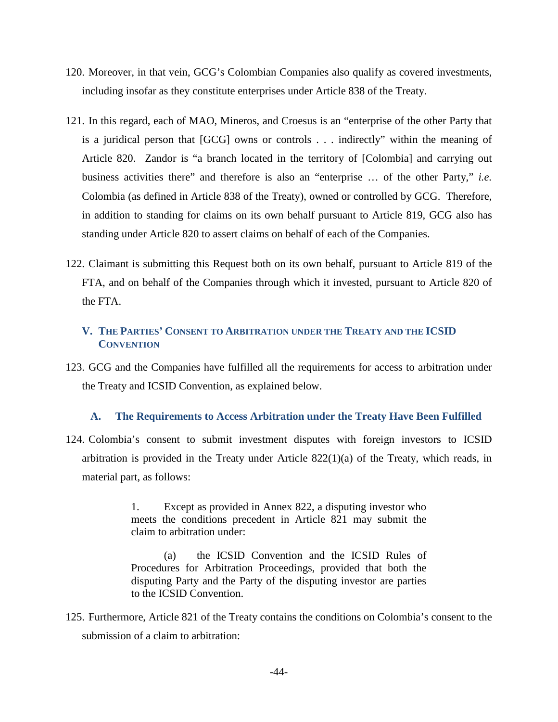- 120. Moreover, in that vein, GCG's Colombian Companies also qualify as covered investments, including insofar as they constitute enterprises under Article 838 of the Treaty.
- 121. In this regard, each of MAO, Mineros, and Croesus is an "enterprise of the other Party that is a juridical person that [GCG] owns or controls . . . indirectly" within the meaning of Article 820. Zandor is "a branch located in the territory of [Colombia] and carrying out business activities there" and therefore is also an "enterprise … of the other Party," *i.e.* Colombia (as defined in Article 838 of the Treaty), owned or controlled by GCG. Therefore, in addition to standing for claims on its own behalf pursuant to Article 819, GCG also has standing under Article 820 to assert claims on behalf of each of the Companies.
- 122. Claimant is submitting this Request both on its own behalf, pursuant to Article 819 of the FTA, and on behalf of the Companies through which it invested, pursuant to Article 820 of the FTA.

# **V. THE PARTIES' CONSENT TO ARBITRATION UNDER THE TREATY AND THE ICSID CONVENTION**

123. GCG and the Companies have fulfilled all the requirements for access to arbitration under the Treaty and ICSID Convention, as explained below.

# **A. The Requirements to Access Arbitration under the Treaty Have Been Fulfilled**

124. Colombia's consent to submit investment disputes with foreign investors to ICSID arbitration is provided in the Treaty under Article 822(1)(a) of the Treaty, which reads, in material part, as follows:

> 1. Except as provided in Annex 822, a disputing investor who meets the conditions precedent in Article 821 may submit the claim to arbitration under:

> (a) the ICSID Convention and the ICSID Rules of Procedures for Arbitration Proceedings, provided that both the disputing Party and the Party of the disputing investor are parties to the ICSID Convention.

125. Furthermore, Article 821 of the Treaty contains the conditions on Colombia's consent to the submission of a claim to arbitration: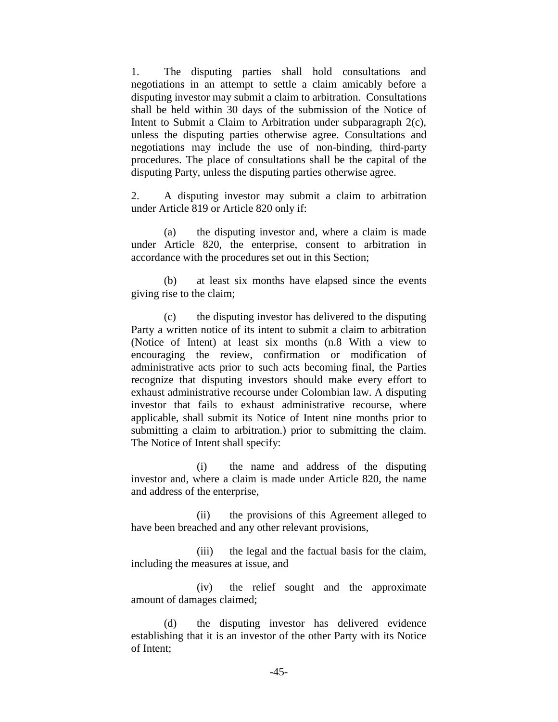1. The disputing parties shall hold consultations and negotiations in an attempt to settle a claim amicably before a disputing investor may submit a claim to arbitration. Consultations shall be held within 30 days of the submission of the Notice of Intent to Submit a Claim to Arbitration under subparagraph 2(c), unless the disputing parties otherwise agree. Consultations and negotiations may include the use of non-binding, third-party procedures. The place of consultations shall be the capital of the disputing Party, unless the disputing parties otherwise agree.

2. A disputing investor may submit a claim to arbitration under Article 819 or Article 820 only if:

(a) the disputing investor and, where a claim is made under Article 820, the enterprise, consent to arbitration in accordance with the procedures set out in this Section;

(b) at least six months have elapsed since the events giving rise to the claim;

(c) the disputing investor has delivered to the disputing Party a written notice of its intent to submit a claim to arbitration (Notice of Intent) at least six months (n.8 With a view to encouraging the review, confirmation or modification of administrative acts prior to such acts becoming final, the Parties recognize that disputing investors should make every effort to exhaust administrative recourse under Colombian law. A disputing investor that fails to exhaust administrative recourse, where applicable, shall submit its Notice of Intent nine months prior to submitting a claim to arbitration.) prior to submitting the claim. The Notice of Intent shall specify:

(i) the name and address of the disputing investor and, where a claim is made under Article 820, the name and address of the enterprise,

(ii) the provisions of this Agreement alleged to have been breached and any other relevant provisions,

(iii) the legal and the factual basis for the claim, including the measures at issue, and

(iv) the relief sought and the approximate amount of damages claimed;

(d) the disputing investor has delivered evidence establishing that it is an investor of the other Party with its Notice of Intent;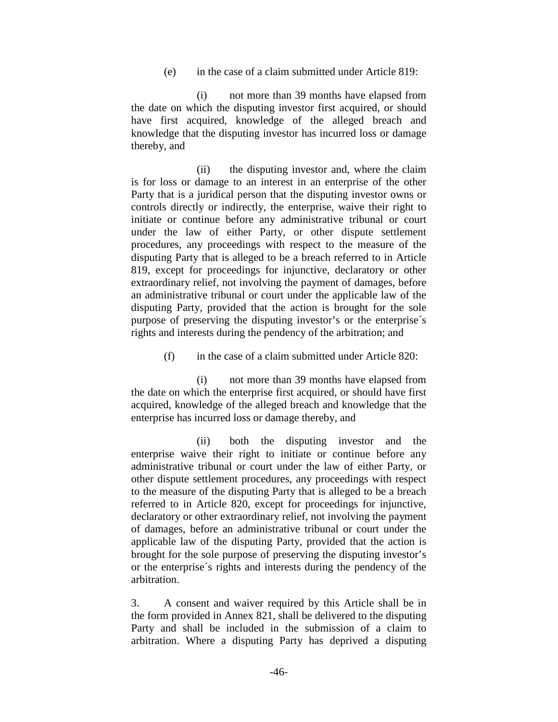(e) in the case of a claim submitted under Article 819:

(i) not more than 39 months have elapsed from the date on which the disputing investor first acquired, or should have first acquired, knowledge of the alleged breach and knowledge that the disputing investor has incurred loss or damage thereby, and

(ii) the disputing investor and, where the claim is for loss or damage to an interest in an enterprise of the other Party that is a juridical person that the disputing investor owns or controls directly or indirectly, the enterprise, waive their right to initiate or continue before any administrative tribunal or court under the law of either Party, or other dispute settlement procedures, any proceedings with respect to the measure of the disputing Party that is alleged to be a breach referred to in Article 819, except for proceedings for injunctive, declaratory or other extraordinary relief, not involving the payment of damages, before an administrative tribunal or court under the applicable law of the disputing Party, provided that the action is brought for the sole purpose of preserving the disputing investor's or the enterprise´s rights and interests during the pendency of the arbitration; and

(f) in the case of a claim submitted under Article 820:

(i) not more than 39 months have elapsed from the date on which the enterprise first acquired, or should have first acquired, knowledge of the alleged breach and knowledge that the enterprise has incurred loss or damage thereby, and

(ii) both the disputing investor and the enterprise waive their right to initiate or continue before any administrative tribunal or court under the law of either Party, or other dispute settlement procedures, any proceedings with respect to the measure of the disputing Party that is alleged to be a breach referred to in Article 820, except for proceedings for injunctive, declaratory or other extraordinary relief, not involving the payment of damages, before an administrative tribunal or court under the applicable law of the disputing Party, provided that the action is brought for the sole purpose of preserving the disputing investor's or the enterprise´s rights and interests during the pendency of the arbitration.

3. A consent and waiver required by this Article shall be in the form provided in Annex 821, shall be delivered to the disputing Party and shall be included in the submission of a claim to arbitration. Where a disputing Party has deprived a disputing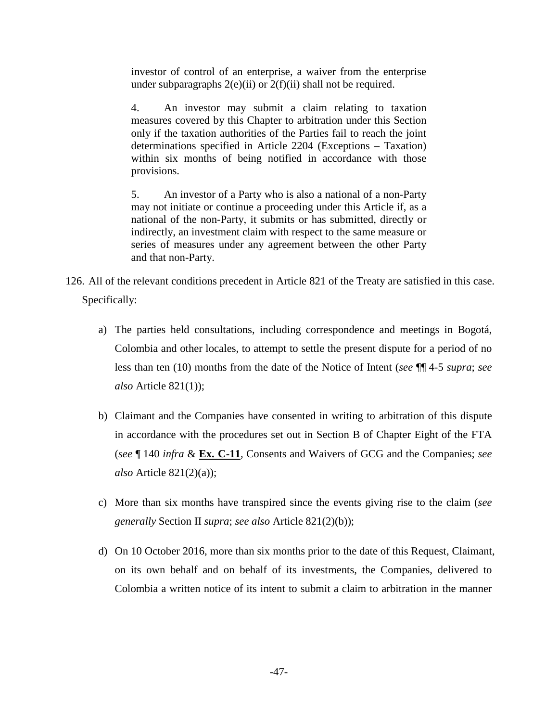investor of control of an enterprise, a waiver from the enterprise under subparagraphs  $2(e)(ii)$  or  $2(f)(ii)$  shall not be required.

4. An investor may submit a claim relating to taxation measures covered by this Chapter to arbitration under this Section only if the taxation authorities of the Parties fail to reach the joint determinations specified in Article 2204 (Exceptions – Taxation) within six months of being notified in accordance with those provisions.

5. An investor of a Party who is also a national of a non-Party may not initiate or continue a proceeding under this Article if, as a national of the non-Party, it submits or has submitted, directly or indirectly, an investment claim with respect to the same measure or series of measures under any agreement between the other Party and that non-Party.

- 126. All of the relevant conditions precedent in Article 821 of the Treaty are satisfied in this case. Specifically:
	- a) The parties held consultations, including correspondence and meetings in Bogotá, Colombia and other locales, to attempt to settle the present dispute for a period of no less than ten (10) months from the date of the Notice of Intent (*see* ¶¶ 4-5 *supra*; *see also* Article 821(1));
	- b) Claimant and the Companies have consented in writing to arbitration of this dispute in accordance with the procedures set out in Section B of Chapter Eight of the FTA (*see* ¶ 140 *infra* & **Ex. C-11**, Consents and Waivers of GCG and the Companies; *see also* Article 821(2)(a));
	- c) More than six months have transpired since the events giving rise to the claim (*see generally* Section II *supra*; *see also* Article 821(2)(b));
	- d) On 10 October 2016, more than six months prior to the date of this Request, Claimant, on its own behalf and on behalf of its investments, the Companies, delivered to Colombia a written notice of its intent to submit a claim to arbitration in the manner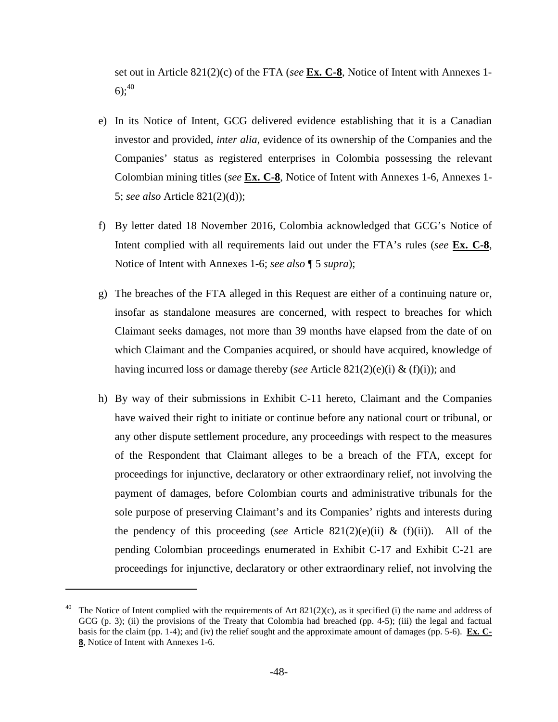set out in Article 821(2)(c) of the FTA (*see* **Ex. C-8**, Notice of Intent with Annexes 1- 6);  $^{40}$ 

- e) In its Notice of Intent, GCG delivered evidence establishing that it is a Canadian investor and provided, *inter alia*, evidence of its ownership of the Companies and the Companies' status as registered enterprises in Colombia possessing the relevant Colombian mining titles (*see* **Ex. C-8**, Notice of Intent with Annexes 1-6, Annexes 1- 5; *see also* Article 821(2)(d));
- f) By letter dated 18 November 2016, Colombia acknowledged that GCG's Notice of Intent complied with all requirements laid out under the FTA's rules (*see* **Ex. C-8**, Notice of Intent with Annexes 1-6; *see also* ¶ 5 *supra*);
- g) The breaches of the FTA alleged in this Request are either of a continuing nature or, insofar as standalone measures are concerned, with respect to breaches for which Claimant seeks damages, not more than 39 months have elapsed from the date of on which Claimant and the Companies acquired, or should have acquired, knowledge of having incurred loss or damage thereby (*see* Article 821(2)(e)(i) & (f)(i)); and
- h) By way of their submissions in Exhibit C-11 hereto, Claimant and the Companies have waived their right to initiate or continue before any national court or tribunal, or any other dispute settlement procedure, any proceedings with respect to the measures of the Respondent that Claimant alleges to be a breach of the FTA, except for proceedings for injunctive, declaratory or other extraordinary relief, not involving the payment of damages, before Colombian courts and administrative tribunals for the sole purpose of preserving Claimant's and its Companies' rights and interests during the pendency of this proceeding (*see* Article 821(2)(e)(ii) & (f)(ii)). All of the pending Colombian proceedings enumerated in Exhibit C-17 and Exhibit C-21 are proceedings for injunctive, declaratory or other extraordinary relief, not involving the

The Notice of Intent complied with the requirements of Art  $821(2)(c)$ , as it specified (i) the name and address of GCG (p. 3); (ii) the provisions of the Treaty that Colombia had breached (pp. 4-5); (iii) the legal and factual basis for the claim (pp. 1-4); and (iv) the relief sought and the approximate amount of damages (pp. 5-6). **Ex. C-8**, Notice of Intent with Annexes 1-6.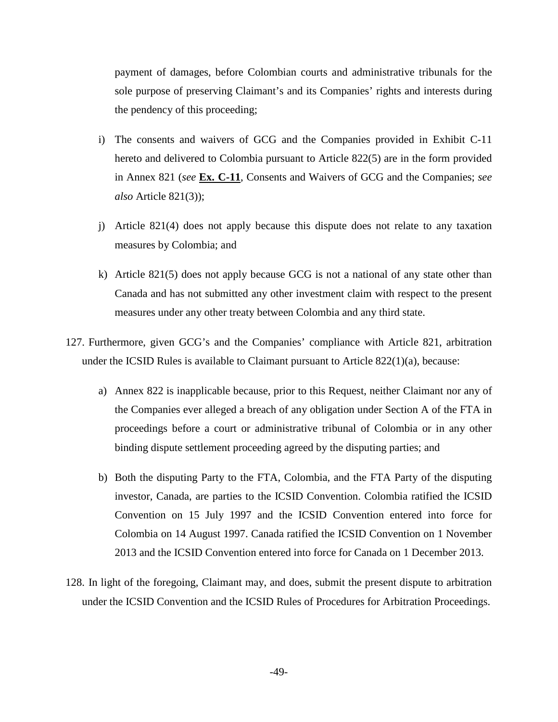payment of damages, before Colombian courts and administrative tribunals for the sole purpose of preserving Claimant's and its Companies' rights and interests during the pendency of this proceeding;

- i) The consents and waivers of GCG and the Companies provided in Exhibit C-11 hereto and delivered to Colombia pursuant to Article 822(5) are in the form provided in Annex 821 (*see* **Ex. C-11**, Consents and Waivers of GCG and the Companies; *see also* Article 821(3));
- j) Article 821(4) does not apply because this dispute does not relate to any taxation measures by Colombia; and
- k) Article 821(5) does not apply because GCG is not a national of any state other than Canada and has not submitted any other investment claim with respect to the present measures under any other treaty between Colombia and any third state.
- 127. Furthermore, given GCG's and the Companies' compliance with Article 821, arbitration under the ICSID Rules is available to Claimant pursuant to Article  $822(1)(a)$ , because:
	- a) Annex 822 is inapplicable because, prior to this Request, neither Claimant nor any of the Companies ever alleged a breach of any obligation under Section A of the FTA in proceedings before a court or administrative tribunal of Colombia or in any other binding dispute settlement proceeding agreed by the disputing parties; and
	- b) Both the disputing Party to the FTA, Colombia, and the FTA Party of the disputing investor, Canada, are parties to the ICSID Convention. Colombia ratified the ICSID Convention on 15 July 1997 and the ICSID Convention entered into force for Colombia on 14 August 1997. Canada ratified the ICSID Convention on 1 November 2013 and the ICSID Convention entered into force for Canada on 1 December 2013.
- 128. In light of the foregoing, Claimant may, and does, submit the present dispute to arbitration under the ICSID Convention and the ICSID Rules of Procedures for Arbitration Proceedings.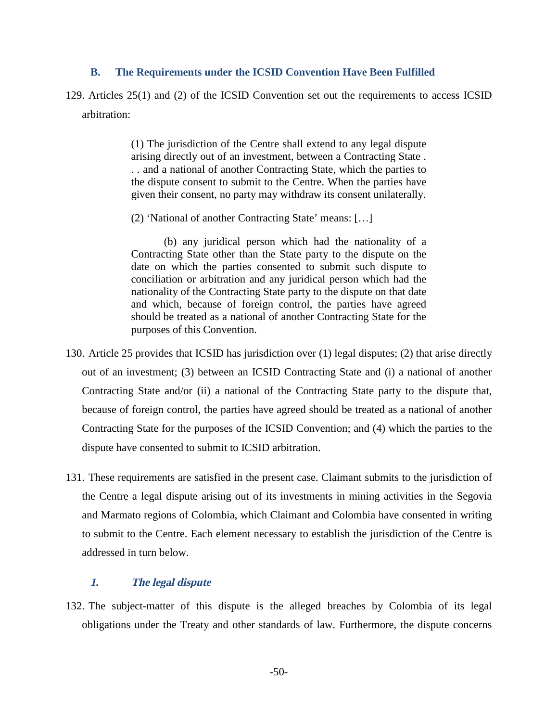#### **B. The Requirements under the ICSID Convention Have Been Fulfilled**

129. Articles 25(1) and (2) of the ICSID Convention set out the requirements to access ICSID arbitration:

> (1) The jurisdiction of the Centre shall extend to any legal dispute arising directly out of an investment, between a Contracting State . . . and a national of another Contracting State, which the parties to the dispute consent to submit to the Centre. When the parties have given their consent, no party may withdraw its consent unilaterally.

(2) 'National of another Contracting State' means: […]

(b) any juridical person which had the nationality of a Contracting State other than the State party to the dispute on the date on which the parties consented to submit such dispute to conciliation or arbitration and any juridical person which had the nationality of the Contracting State party to the dispute on that date and which, because of foreign control, the parties have agreed should be treated as a national of another Contracting State for the purposes of this Convention.

- 130. Article 25 provides that ICSID has jurisdiction over (1) legal disputes; (2) that arise directly out of an investment; (3) between an ICSID Contracting State and (i) a national of another Contracting State and/or (ii) a national of the Contracting State party to the dispute that, because of foreign control, the parties have agreed should be treated as a national of another Contracting State for the purposes of the ICSID Convention; and (4) which the parties to the dispute have consented to submit to ICSID arbitration.
- 131. These requirements are satisfied in the present case. Claimant submits to the jurisdiction of the Centre a legal dispute arising out of its investments in mining activities in the Segovia and Marmato regions of Colombia, which Claimant and Colombia have consented in writing to submit to the Centre. Each element necessary to establish the jurisdiction of the Centre is addressed in turn below.

## **1. The legal dispute**

132. The subject-matter of this dispute is the alleged breaches by Colombia of its legal obligations under the Treaty and other standards of law. Furthermore, the dispute concerns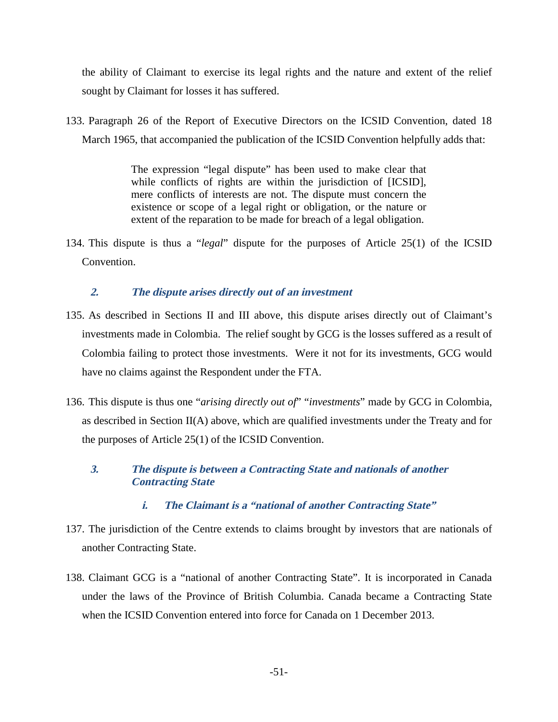the ability of Claimant to exercise its legal rights and the nature and extent of the relief sought by Claimant for losses it has suffered.

133. Paragraph 26 of the Report of Executive Directors on the ICSID Convention, dated 18 March 1965, that accompanied the publication of the ICSID Convention helpfully adds that:

> The expression "legal dispute" has been used to make clear that while conflicts of rights are within the jurisdiction of [ICSID], mere conflicts of interests are not. The dispute must concern the existence or scope of a legal right or obligation, or the nature or extent of the reparation to be made for breach of a legal obligation.

134. This dispute is thus a "*legal*" dispute for the purposes of Article 25(1) of the ICSID Convention.

# **2. The dispute arises directly out of an investment**

- 135. As described in Sections II and III above, this dispute arises directly out of Claimant's investments made in Colombia. The relief sought by GCG is the losses suffered as a result of Colombia failing to protect those investments. Were it not for its investments, GCG would have no claims against the Respondent under the FTA.
- 136. This dispute is thus one "*arising directly out of*" "*investments*" made by GCG in Colombia, as described in Section II(A) above, which are qualified investments under the Treaty and for the purposes of Article 25(1) of the ICSID Convention.

# **3. The dispute is between a Contracting State and nationals of another Contracting State**

- **i. The Claimant is a "national of another Contracting State"**
- 137. The jurisdiction of the Centre extends to claims brought by investors that are nationals of another Contracting State.
- 138. Claimant GCG is a "national of another Contracting State". It is incorporated in Canada under the laws of the Province of British Columbia. Canada became a Contracting State when the ICSID Convention entered into force for Canada on 1 December 2013.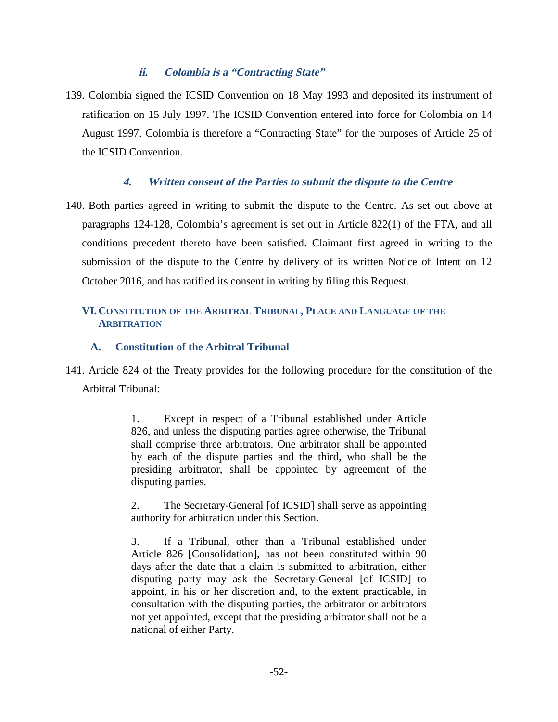# **ii. Colombia is a "Contracting State"**

139. Colombia signed the ICSID Convention on 18 May 1993 and deposited its instrument of ratification on 15 July 1997. The ICSID Convention entered into force for Colombia on 14 August 1997. Colombia is therefore a "Contracting State" for the purposes of Article 25 of the ICSID Convention.

## **4. Written consent of the Parties to submit the dispute to the Centre**

140. Both parties agreed in writing to submit the dispute to the Centre. As set out above at paragraphs 124-128, Colombia's agreement is set out in Article 822(1) of the FTA, and all conditions precedent thereto have been satisfied. Claimant first agreed in writing to the submission of the dispute to the Centre by delivery of its written Notice of Intent on 12 October 2016, and has ratified its consent in writing by filing this Request.

# **VI.CONSTITUTION OF THE ARBITRAL TRIBUNAL, PLACE AND LANGUAGE OF THE ARBITRATION**

#### **A. Constitution of the Arbitral Tribunal**

141. Article 824 of the Treaty provides for the following procedure for the constitution of the Arbitral Tribunal:

> 1. Except in respect of a Tribunal established under Article 826, and unless the disputing parties agree otherwise, the Tribunal shall comprise three arbitrators. One arbitrator shall be appointed by each of the dispute parties and the third, who shall be the presiding arbitrator, shall be appointed by agreement of the disputing parties.

> 2. The Secretary-General [of ICSID] shall serve as appointing authority for arbitration under this Section.

> 3. If a Tribunal, other than a Tribunal established under Article 826 [Consolidation], has not been constituted within 90 days after the date that a claim is submitted to arbitration, either disputing party may ask the Secretary-General [of ICSID] to appoint, in his or her discretion and, to the extent practicable, in consultation with the disputing parties, the arbitrator or arbitrators not yet appointed, except that the presiding arbitrator shall not be a national of either Party.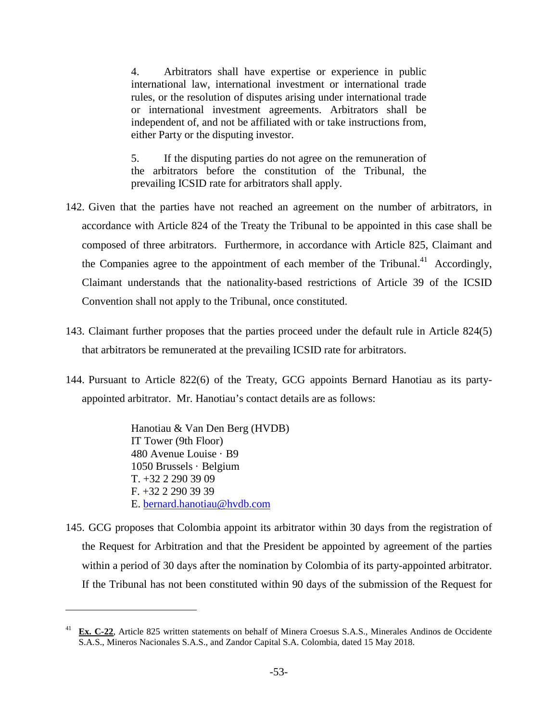4. Arbitrators shall have expertise or experience in public international law, international investment or international trade rules, or the resolution of disputes arising under international trade or international investment agreements. Arbitrators shall be independent of, and not be affiliated with or take instructions from, either Party or the disputing investor.

5. If the disputing parties do not agree on the remuneration of the arbitrators before the constitution of the Tribunal, the prevailing ICSID rate for arbitrators shall apply.

- 142. Given that the parties have not reached an agreement on the number of arbitrators, in accordance with Article 824 of the Treaty the Tribunal to be appointed in this case shall be composed of three arbitrators. Furthermore, in accordance with Article 825, Claimant and the Companies agree to the appointment of each member of the Tribunal.<sup>41</sup> Accordingly, Claimant understands that the nationality-based restrictions of Article 39 of the ICSID Convention shall not apply to the Tribunal, once constituted.
- 143. Claimant further proposes that the parties proceed under the default rule in Article 824(5) that arbitrators be remunerated at the prevailing ICSID rate for arbitrators.
- 144. Pursuant to Article 822(6) of the Treaty, GCG appoints Bernard Hanotiau as its partyappointed arbitrator. Mr. Hanotiau's contact details are as follows:

Hanotiau & Van Den Berg (HVDB) IT Tower (9th Floor) 480 Avenue Louise · B9 1050 Brussels · Belgium T. +32 2 290 39 09 F. +32 2 290 39 39 E. bernard.hanotiau@hvdb.com

145. GCG proposes that Colombia appoint its arbitrator within 30 days from the registration of the Request for Arbitration and that the President be appointed by agreement of the parties within a period of 30 days after the nomination by Colombia of its party-appointed arbitrator. If the Tribunal has not been constituted within 90 days of the submission of the Request for

<sup>41</sup> **Ex. C-22**, Article 825 written statements on behalf of Minera Croesus S.A.S., Minerales Andinos de Occidente S.A.S., Mineros Nacionales S.A.S., and Zandor Capital S.A. Colombia, dated 15 May 2018.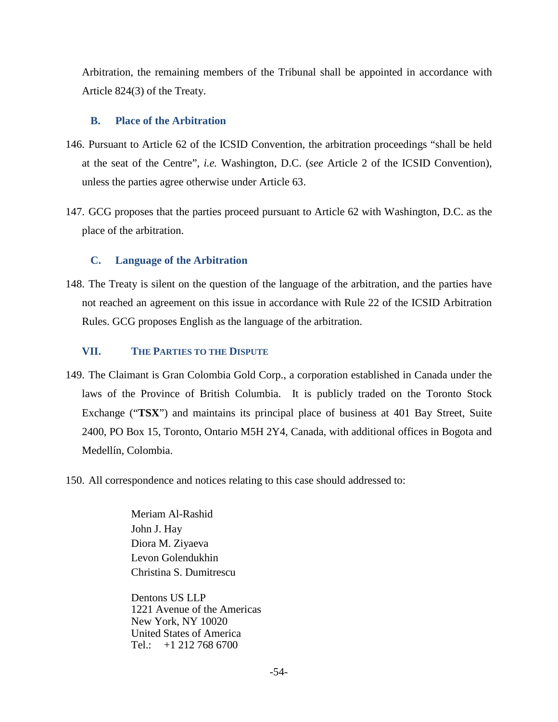Arbitration, the remaining members of the Tribunal shall be appointed in accordance with Article 824(3) of the Treaty.

#### **B. Place of the Arbitration**

- 146. Pursuant to Article 62 of the ICSID Convention, the arbitration proceedings "shall be held at the seat of the Centre", *i.e.* Washington, D.C. (*see* Article 2 of the ICSID Convention), unless the parties agree otherwise under Article 63.
- 147. GCG proposes that the parties proceed pursuant to Article 62 with Washington, D.C. as the place of the arbitration.

## **C. Language of the Arbitration**

148. The Treaty is silent on the question of the language of the arbitration, and the parties have not reached an agreement on this issue in accordance with Rule 22 of the ICSID Arbitration Rules. GCG proposes English as the language of the arbitration.

#### **VII. THE PARTIES TO THE DISPUTE**

- 149. The Claimant is Gran Colombia Gold Corp., a corporation established in Canada under the laws of the Province of British Columbia. It is publicly traded on the Toronto Stock Exchange ("**TSX**") and maintains its principal place of business at 401 Bay Street, Suite 2400, PO Box 15, Toronto, Ontario M5H 2Y4, Canada, with additional offices in Bogota and Medellín, Colombia.
- 150. All correspondence and notices relating to this case should addressed to:

Meriam Al-Rashid John J. Hay Diora M. Ziyaeva Levon Golendukhin Christina S. Dumitrescu

Dentons US LLP 1221 Avenue of the Americas New York, NY 10020 United States of America Tel.:  $+12127686700$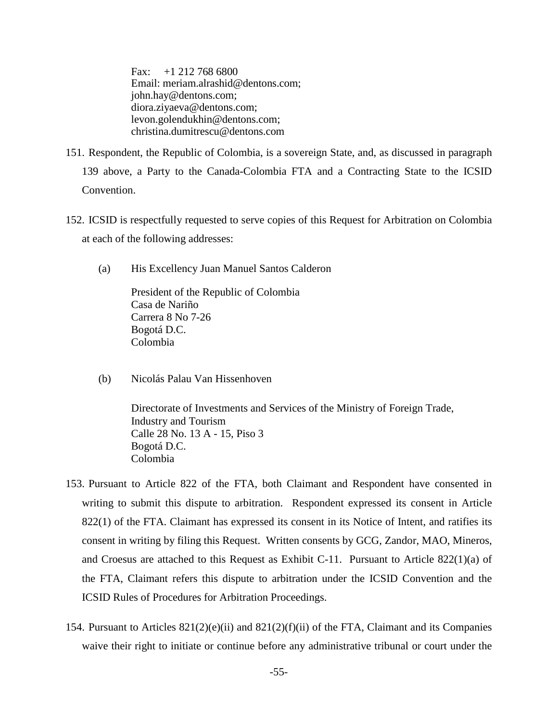Fax: +1 212 768 6800 Email: meriam.alrashid@dentons.com; john.hay@dentons.com; diora.ziyaeva@dentons.com; levon.golendukhin@dentons.com; christina.dumitrescu@dentons.com

- 151. Respondent, the Republic of Colombia, is a sovereign State, and, as discussed in paragraph 139 above, a Party to the Canada-Colombia FTA and a Contracting State to the ICSID Convention.
- 152. ICSID is respectfully requested to serve copies of this Request for Arbitration on Colombia at each of the following addresses:
	- (a) His Excellency Juan Manuel Santos Calderon

President of the Republic of Colombia Casa de Nariño Carrera 8 No 7-26 Bogotá D.C. Colombia

(b) Nicolás Palau Van Hissenhoven

Directorate of Investments and Services of the Ministry of Foreign Trade, Industry and Tourism Calle 28 No. 13 A - 15, Piso 3 Bogotá D.C. Colombia

- 153. Pursuant to Article 822 of the FTA, both Claimant and Respondent have consented in writing to submit this dispute to arbitration. Respondent expressed its consent in Article 822(1) of the FTA. Claimant has expressed its consent in its Notice of Intent, and ratifies its consent in writing by filing this Request. Written consents by GCG, Zandor, MAO, Mineros, and Croesus are attached to this Request as Exhibit C-11. Pursuant to Article 822(1)(a) of the FTA, Claimant refers this dispute to arbitration under the ICSID Convention and the ICSID Rules of Procedures for Arbitration Proceedings.
- 154. Pursuant to Articles  $821(2)(e)(ii)$  and  $821(2)(f)(ii)$  of the FTA, Claimant and its Companies waive their right to initiate or continue before any administrative tribunal or court under the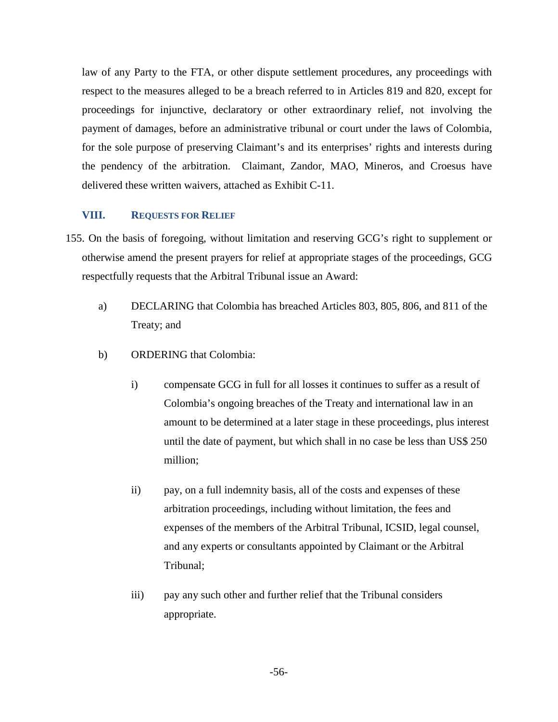law of any Party to the FTA, or other dispute settlement procedures, any proceedings with respect to the measures alleged to be a breach referred to in Articles 819 and 820, except for proceedings for injunctive, declaratory or other extraordinary relief, not involving the payment of damages, before an administrative tribunal or court under the laws of Colombia, for the sole purpose of preserving Claimant's and its enterprises' rights and interests during the pendency of the arbitration. Claimant, Zandor, MAO, Mineros, and Croesus have delivered these written waivers, attached as Exhibit C-11.

#### **VIII. REQUESTS FOR RELIEF**

- 155. On the basis of foregoing, without limitation and reserving GCG's right to supplement or otherwise amend the present prayers for relief at appropriate stages of the proceedings, GCG respectfully requests that the Arbitral Tribunal issue an Award:
	- a) DECLARING that Colombia has breached Articles 803, 805, 806, and 811 of the Treaty; and
	- b) ORDERING that Colombia:
		- i) compensate GCG in full for all losses it continues to suffer as a result of Colombia's ongoing breaches of the Treaty and international law in an amount to be determined at a later stage in these proceedings, plus interest until the date of payment, but which shall in no case be less than US\$ 250 million;
		- ii) pay, on a full indemnity basis, all of the costs and expenses of these arbitration proceedings, including without limitation, the fees and expenses of the members of the Arbitral Tribunal, ICSID, legal counsel, and any experts or consultants appointed by Claimant or the Arbitral Tribunal;
		- iii) pay any such other and further relief that the Tribunal considers appropriate.